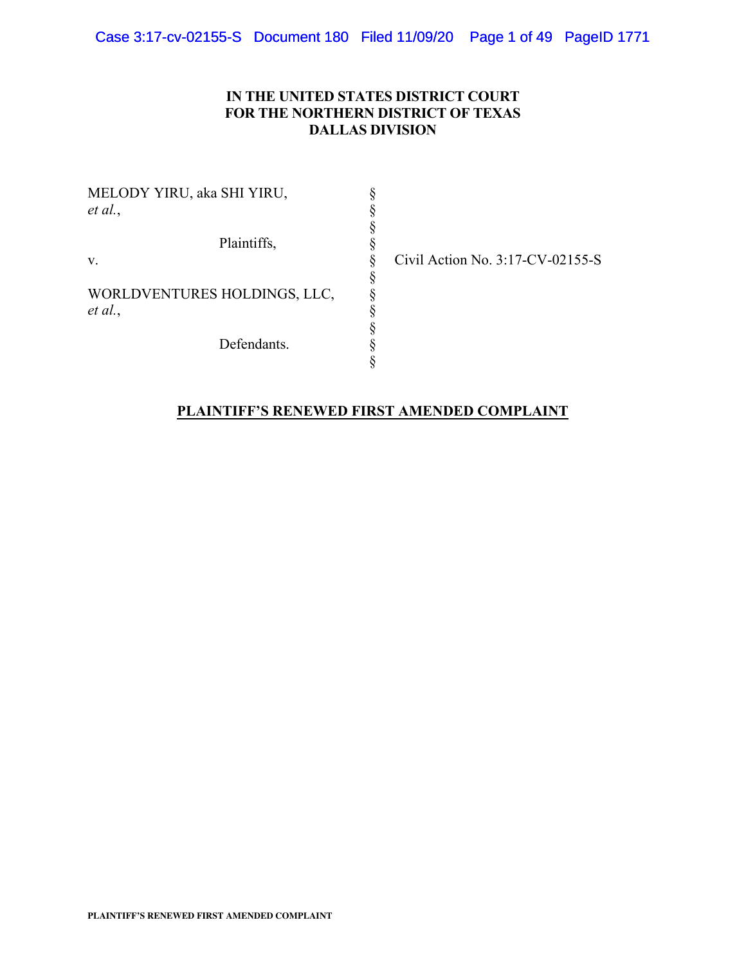# **IN THE UNITED STATES DISTRICT COURT FOR THE NORTHERN DISTRICT OF TEXAS DALLAS DIVISION**

| MELODY YIRU, aka SHI YIRU,   |  |
|------------------------------|--|
| et al.,                      |  |
|                              |  |
| Plaintiffs,                  |  |
| V.                           |  |
|                              |  |
| WORLDVENTURES HOLDINGS, LLC, |  |
| et al.,                      |  |
|                              |  |
| Defendants.                  |  |
|                              |  |

Civil Action No. 3:17-CV-02155-S

# **PLAINTIFF'S RENEWED FIRST AMENDED COMPLAINT**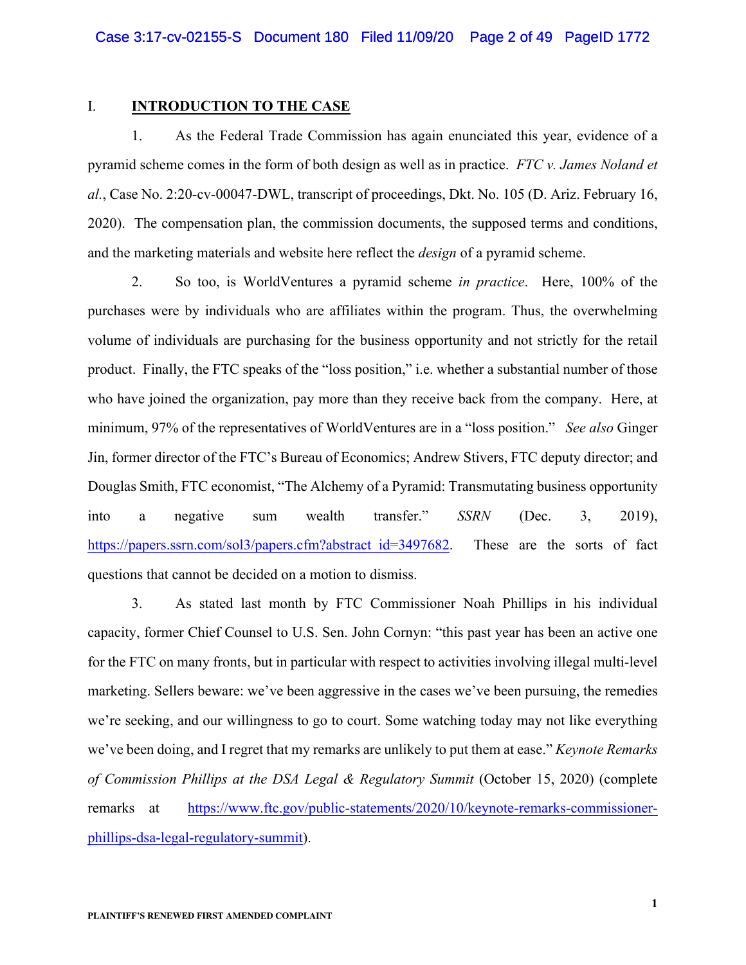#### I. **INTRODUCTION TO THE CASE**

1. As the Federal Trade Commission has again enunciated this year, evidence of a pyramid scheme comes in the form of both design as well as in practice. *FTC v. James Noland et al.*, Case No. 2:20-cv-00047-DWL, transcript of proceedings, Dkt. No. 105 (D. Ariz. February 16, 2020). The compensation plan, the commission documents, the supposed terms and conditions, and the marketing materials and website here reflect the *design* of a pyramid scheme.

2. So too, is WorldVentures a pyramid scheme *in practice*. Here, 100% of the purchases were by individuals who are affiliates within the program. Thus, the overwhelming volume of individuals are purchasing for the business opportunity and not strictly for the retail product. Finally, the FTC speaks of the "loss position," i.e. whether a substantial number of those who have joined the organization, pay more than they receive back from the company. Here, at minimum, 97% of the representatives of WorldVentures are in a "loss position." *See also* Ginger Jin, former director of the FTC's Bureau of Economics; Andrew Stivers, FTC deputy director; and Douglas Smith, FTC economist, "The Alchemy of a Pyramid: Transmutating business opportunity into a negative sum wealth transfer." *SSRN* (Dec. 3, 2019), https://papers.ssrn.com/sol3/papers.cfm?abstract\_id=3497682. These are the sorts of fact questions that cannot be decided on a motion to dismiss.

3. As stated last month by FTC Commissioner Noah Phillips in his individual capacity, former Chief Counsel to U.S. Sen. John Cornyn: "this past year has been an active one for the FTC on many fronts, but in particular with respect to activities involving illegal multi-level marketing. Sellers beware: we've been aggressive in the cases we've been pursuing, the remedies we're seeking, and our willingness to go to court. Some watching today may not like everything we've been doing, and I regret that my remarks are unlikely to put them at ease." *Keynote Remarks of Commission Phillips at the DSA Legal & Regulatory Summit* (October 15, 2020) (complete remarks at https://www.ftc.gov/public-statements/2020/10/keynote-remarks-commissionerphillips-dsa-legal-regulatory-summit).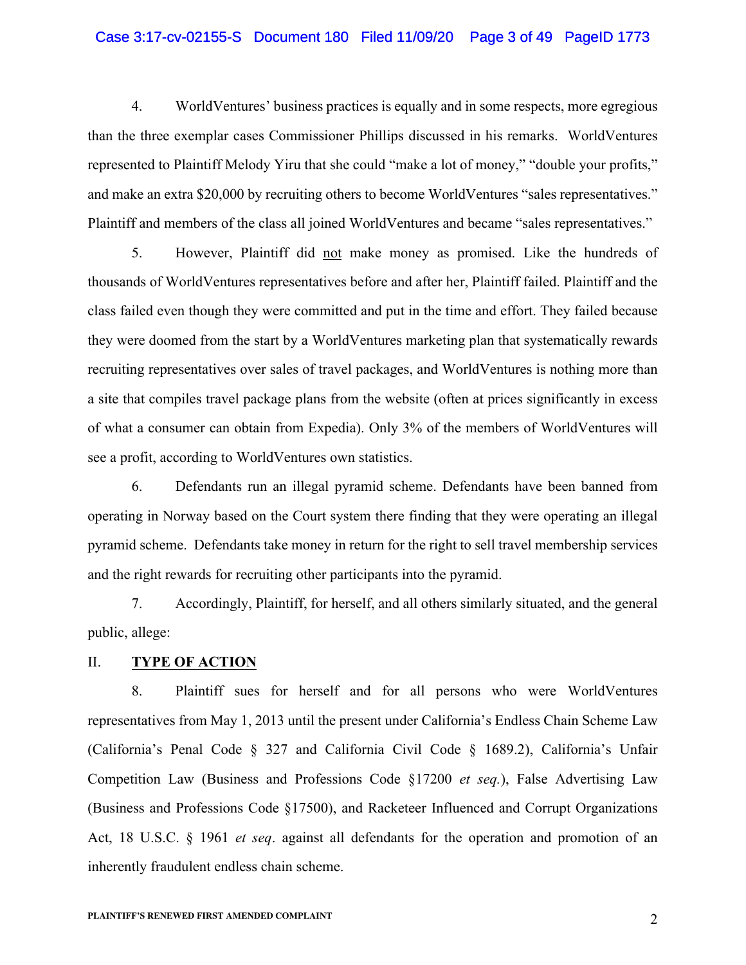# Case 3:17-cv-02155-S Document 180 Filed 11/09/20 Page 3 of 49 PageID 1773

4. WorldVentures' business practices is equally and in some respects, more egregious than the three exemplar cases Commissioner Phillips discussed in his remarks. WorldVentures represented to Plaintiff Melody Yiru that she could "make a lot of money," "double your profits," and make an extra \$20,000 by recruiting others to become WorldVentures "sales representatives." Plaintiff and members of the class all joined WorldVentures and became "sales representatives."

5. However, Plaintiff did not make money as promised. Like the hundreds of thousands of WorldVentures representatives before and after her, Plaintiff failed. Plaintiff and the class failed even though they were committed and put in the time and effort. They failed because they were doomed from the start by a WorldVentures marketing plan that systematically rewards recruiting representatives over sales of travel packages, and WorldVentures is nothing more than a site that compiles travel package plans from the website (often at prices significantly in excess of what a consumer can obtain from Expedia). Only 3% of the members of WorldVentures will see a profit, according to WorldVentures own statistics.

6. Defendants run an illegal pyramid scheme. Defendants have been banned from operating in Norway based on the Court system there finding that they were operating an illegal pyramid scheme. Defendants take money in return for the right to sell travel membership services and the right rewards for recruiting other participants into the pyramid.

7. Accordingly, Plaintiff, for herself, and all others similarly situated, and the general public, allege:

# II. **TYPE OF ACTION**

8. Plaintiff sues for herself and for all persons who were WorldVentures representatives from May 1, 2013 until the present under California's Endless Chain Scheme Law (California's Penal Code § 327 and California Civil Code § 1689.2), California's Unfair Competition Law (Business and Professions Code §17200 *et seq.*), False Advertising Law (Business and Professions Code §17500), and Racketeer Influenced and Corrupt Organizations Act, 18 U.S.C. § 1961 *et seq*. against all defendants for the operation and promotion of an inherently fraudulent endless chain scheme.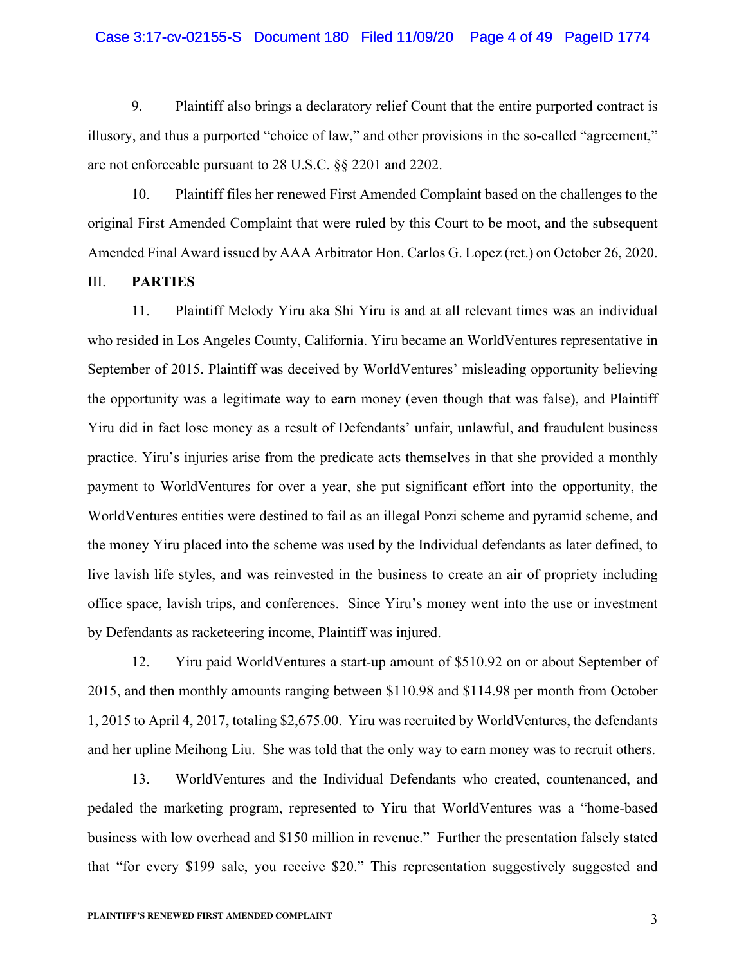# Case 3:17-cv-02155-S Document 180 Filed 11/09/20 Page 4 of 49 PageID 1774

9. Plaintiff also brings a declaratory relief Count that the entire purported contract is illusory, and thus a purported "choice of law," and other provisions in the so-called "agreement," are not enforceable pursuant to 28 U.S.C. §§ 2201 and 2202.

10. Plaintiff files her renewed First Amended Complaint based on the challenges to the original First Amended Complaint that were ruled by this Court to be moot, and the subsequent Amended Final Award issued by AAA Arbitrator Hon. Carlos G. Lopez (ret.) on October 26, 2020.

# III. **PARTIES**

11. Plaintiff Melody Yiru aka Shi Yiru is and at all relevant times was an individual who resided in Los Angeles County, California. Yiru became an WorldVentures representative in September of 2015. Plaintiff was deceived by WorldVentures' misleading opportunity believing the opportunity was a legitimate way to earn money (even though that was false), and Plaintiff Yiru did in fact lose money as a result of Defendants' unfair, unlawful, and fraudulent business practice. Yiru's injuries arise from the predicate acts themselves in that she provided a monthly payment to WorldVentures for over a year, she put significant effort into the opportunity, the WorldVentures entities were destined to fail as an illegal Ponzi scheme and pyramid scheme, and the money Yiru placed into the scheme was used by the Individual defendants as later defined, to live lavish life styles, and was reinvested in the business to create an air of propriety including office space, lavish trips, and conferences. Since Yiru's money went into the use or investment by Defendants as racketeering income, Plaintiff was injured.

12. Yiru paid WorldVentures a start-up amount of \$510.92 on or about September of 2015, and then monthly amounts ranging between \$110.98 and \$114.98 per month from October 1, 2015 to April 4, 2017, totaling \$2,675.00. Yiru was recruited by WorldVentures, the defendants and her upline Meihong Liu. She was told that the only way to earn money was to recruit others.

13. WorldVentures and the Individual Defendants who created, countenanced, and pedaled the marketing program, represented to Yiru that WorldVentures was a "home-based business with low overhead and \$150 million in revenue." Further the presentation falsely stated that "for every \$199 sale, you receive \$20." This representation suggestively suggested and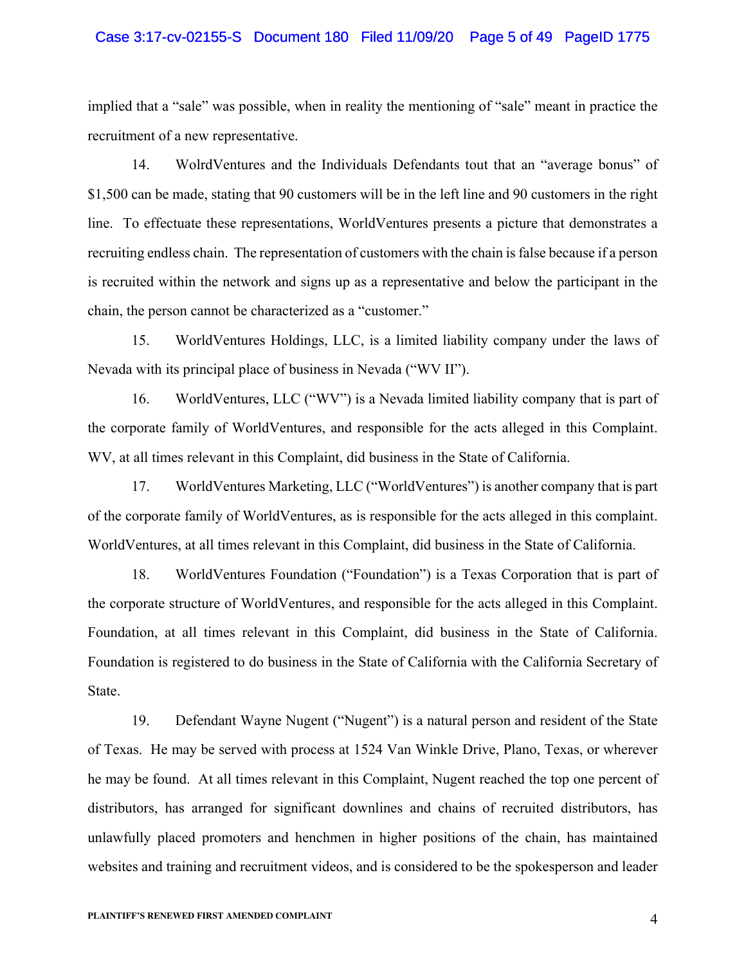# Case 3:17-cv-02155-S Document 180 Filed 11/09/20 Page 5 of 49 PageID 1775

implied that a "sale" was possible, when in reality the mentioning of "sale" meant in practice the recruitment of a new representative.

14. WolrdVentures and the Individuals Defendants tout that an "average bonus" of \$1,500 can be made, stating that 90 customers will be in the left line and 90 customers in the right line. To effectuate these representations, WorldVentures presents a picture that demonstrates a recruiting endless chain. The representation of customers with the chain is false because if a person is recruited within the network and signs up as a representative and below the participant in the chain, the person cannot be characterized as a "customer."

15. WorldVentures Holdings, LLC, is a limited liability company under the laws of Nevada with its principal place of business in Nevada ("WV II").

16. WorldVentures, LLC ("WV") is a Nevada limited liability company that is part of the corporate family of WorldVentures, and responsible for the acts alleged in this Complaint. WV, at all times relevant in this Complaint, did business in the State of California.

17. WorldVentures Marketing, LLC ("WorldVentures") is another company that is part of the corporate family of WorldVentures, as is responsible for the acts alleged in this complaint. WorldVentures, at all times relevant in this Complaint, did business in the State of California.

18. WorldVentures Foundation ("Foundation") is a Texas Corporation that is part of the corporate structure of WorldVentures, and responsible for the acts alleged in this Complaint. Foundation, at all times relevant in this Complaint, did business in the State of California. Foundation is registered to do business in the State of California with the California Secretary of State.

19. Defendant Wayne Nugent ("Nugent") is a natural person and resident of the State of Texas. He may be served with process at 1524 Van Winkle Drive, Plano, Texas, or wherever he may be found. At all times relevant in this Complaint, Nugent reached the top one percent of distributors, has arranged for significant downlines and chains of recruited distributors, has unlawfully placed promoters and henchmen in higher positions of the chain, has maintained websites and training and recruitment videos, and is considered to be the spokesperson and leader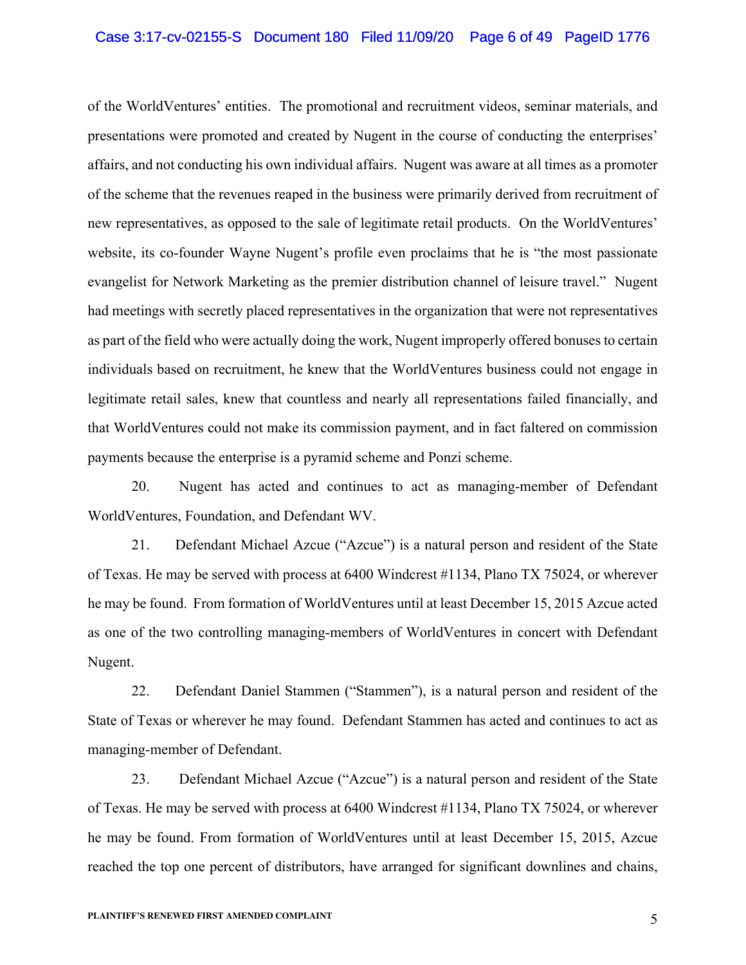#### Case 3:17-cv-02155-S Document 180 Filed 11/09/20 Page 6 of 49 PageID 1776

of the WorldVentures' entities. The promotional and recruitment videos, seminar materials, and presentations were promoted and created by Nugent in the course of conducting the enterprises' affairs, and not conducting his own individual affairs. Nugent was aware at all times as a promoter of the scheme that the revenues reaped in the business were primarily derived from recruitment of new representatives, as opposed to the sale of legitimate retail products. On the WorldVentures' website, its co-founder Wayne Nugent's profile even proclaims that he is "the most passionate evangelist for Network Marketing as the premier distribution channel of leisure travel." Nugent had meetings with secretly placed representatives in the organization that were not representatives as part of the field who were actually doing the work, Nugent improperly offered bonuses to certain individuals based on recruitment, he knew that the WorldVentures business could not engage in legitimate retail sales, knew that countless and nearly all representations failed financially, and that WorldVentures could not make its commission payment, and in fact faltered on commission payments because the enterprise is a pyramid scheme and Ponzi scheme.

20. Nugent has acted and continues to act as managing-member of Defendant WorldVentures, Foundation, and Defendant WV.

21. Defendant Michael Azcue ("Azcue") is a natural person and resident of the State of Texas. He may be served with process at 6400 Windcrest #1134, Plano TX 75024, or wherever he may be found. From formation of WorldVentures until at least December 15, 2015 Azcue acted as one of the two controlling managing-members of WorldVentures in concert with Defendant Nugent.

22. Defendant Daniel Stammen ("Stammen"), is a natural person and resident of the State of Texas or wherever he may found. Defendant Stammen has acted and continues to act as managing-member of Defendant.

23. Defendant Michael Azcue ("Azcue") is a natural person and resident of the State of Texas. He may be served with process at 6400 Windcrest #1134, Plano TX 75024, or wherever he may be found. From formation of WorldVentures until at least December 15, 2015, Azcue reached the top one percent of distributors, have arranged for significant downlines and chains,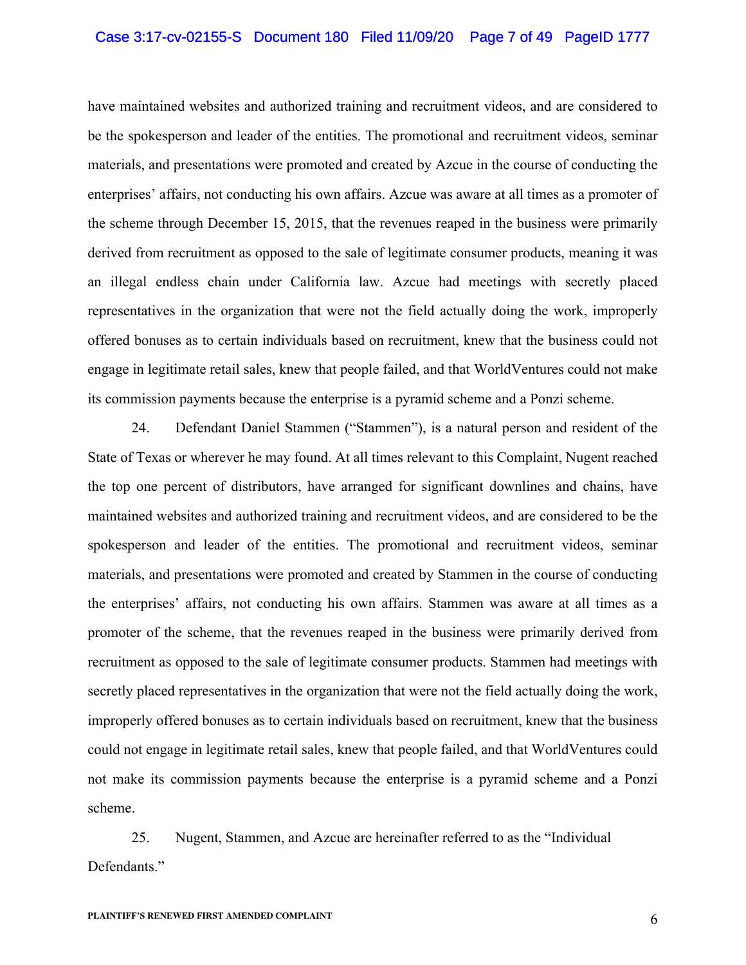#### Case 3:17-cv-02155-S Document 180 Filed 11/09/20 Page 7 of 49 PageID 1777

have maintained websites and authorized training and recruitment videos, and are considered to be the spokesperson and leader of the entities. The promotional and recruitment videos, seminar materials, and presentations were promoted and created by Azcue in the course of conducting the enterprises' affairs, not conducting his own affairs. Azcue was aware at all times as a promoter of the scheme through December 15, 2015, that the revenues reaped in the business were primarily derived from recruitment as opposed to the sale of legitimate consumer products, meaning it was an illegal endless chain under California law. Azcue had meetings with secretly placed representatives in the organization that were not the field actually doing the work, improperly offered bonuses as to certain individuals based on recruitment, knew that the business could not engage in legitimate retail sales, knew that people failed, and that WorldVentures could not make its commission payments because the enterprise is a pyramid scheme and a Ponzi scheme.

24. Defendant Daniel Stammen ("Stammen"), is a natural person and resident of the State of Texas or wherever he may found. At all times relevant to this Complaint, Nugent reached the top one percent of distributors, have arranged for significant downlines and chains, have maintained websites and authorized training and recruitment videos, and are considered to be the spokesperson and leader of the entities. The promotional and recruitment videos, seminar materials, and presentations were promoted and created by Stammen in the course of conducting the enterprises' affairs, not conducting his own affairs. Stammen was aware at all times as a promoter of the scheme, that the revenues reaped in the business were primarily derived from recruitment as opposed to the sale of legitimate consumer products. Stammen had meetings with secretly placed representatives in the organization that were not the field actually doing the work, improperly offered bonuses as to certain individuals based on recruitment, knew that the business could not engage in legitimate retail sales, knew that people failed, and that WorldVentures could not make its commission payments because the enterprise is a pyramid scheme and a Ponzi scheme.

25. Nugent, Stammen, and Azcue are hereinafter referred to as the "Individual Defendants."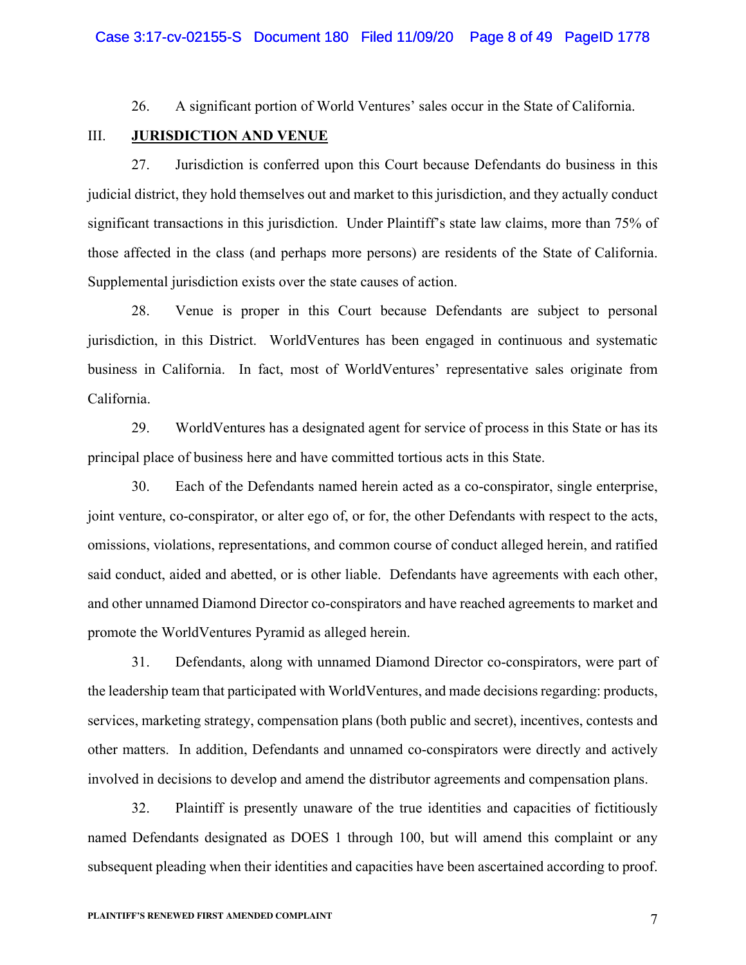26. A significant portion of World Ventures' sales occur in the State of California.

# III. **JURISDICTION AND VENUE**

27. Jurisdiction is conferred upon this Court because Defendants do business in this judicial district, they hold themselves out and market to this jurisdiction, and they actually conduct significant transactions in this jurisdiction. Under Plaintiff's state law claims, more than 75% of those affected in the class (and perhaps more persons) are residents of the State of California. Supplemental jurisdiction exists over the state causes of action.

28. Venue is proper in this Court because Defendants are subject to personal jurisdiction, in this District. WorldVentures has been engaged in continuous and systematic business in California. In fact, most of WorldVentures' representative sales originate from California.

29. WorldVentures has a designated agent for service of process in this State or has its principal place of business here and have committed tortious acts in this State.

30. Each of the Defendants named herein acted as a co-conspirator, single enterprise, joint venture, co-conspirator, or alter ego of, or for, the other Defendants with respect to the acts, omissions, violations, representations, and common course of conduct alleged herein, and ratified said conduct, aided and abetted, or is other liable. Defendants have agreements with each other, and other unnamed Diamond Director co-conspirators and have reached agreements to market and promote the WorldVentures Pyramid as alleged herein.

31. Defendants, along with unnamed Diamond Director co-conspirators, were part of the leadership team that participated with WorldVentures, and made decisions regarding: products, services, marketing strategy, compensation plans (both public and secret), incentives, contests and other matters. In addition, Defendants and unnamed co-conspirators were directly and actively involved in decisions to develop and amend the distributor agreements and compensation plans.

32. Plaintiff is presently unaware of the true identities and capacities of fictitiously named Defendants designated as DOES 1 through 100, but will amend this complaint or any subsequent pleading when their identities and capacities have been ascertained according to proof.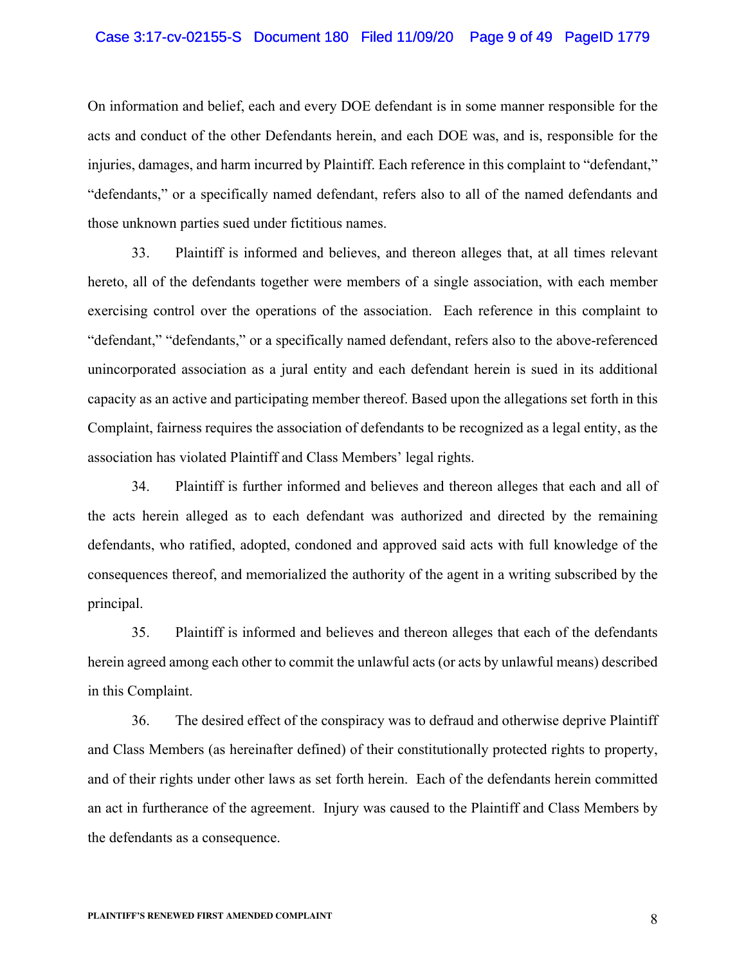#### Case 3:17-cv-02155-S Document 180 Filed 11/09/20 Page 9 of 49 PageID 1779

On information and belief, each and every DOE defendant is in some manner responsible for the acts and conduct of the other Defendants herein, and each DOE was, and is, responsible for the injuries, damages, and harm incurred by Plaintiff. Each reference in this complaint to "defendant," "defendants," or a specifically named defendant, refers also to all of the named defendants and those unknown parties sued under fictitious names.

33. Plaintiff is informed and believes, and thereon alleges that, at all times relevant hereto, all of the defendants together were members of a single association, with each member exercising control over the operations of the association. Each reference in this complaint to "defendant," "defendants," or a specifically named defendant, refers also to the above-referenced unincorporated association as a jural entity and each defendant herein is sued in its additional capacity as an active and participating member thereof. Based upon the allegations set forth in this Complaint, fairness requires the association of defendants to be recognized as a legal entity, as the association has violated Plaintiff and Class Members' legal rights.

34. Plaintiff is further informed and believes and thereon alleges that each and all of the acts herein alleged as to each defendant was authorized and directed by the remaining defendants, who ratified, adopted, condoned and approved said acts with full knowledge of the consequences thereof, and memorialized the authority of the agent in a writing subscribed by the principal.

35. Plaintiff is informed and believes and thereon alleges that each of the defendants herein agreed among each other to commit the unlawful acts (or acts by unlawful means) described in this Complaint.

36. The desired effect of the conspiracy was to defraud and otherwise deprive Plaintiff and Class Members (as hereinafter defined) of their constitutionally protected rights to property, and of their rights under other laws as set forth herein. Each of the defendants herein committed an act in furtherance of the agreement. Injury was caused to the Plaintiff and Class Members by the defendants as a consequence.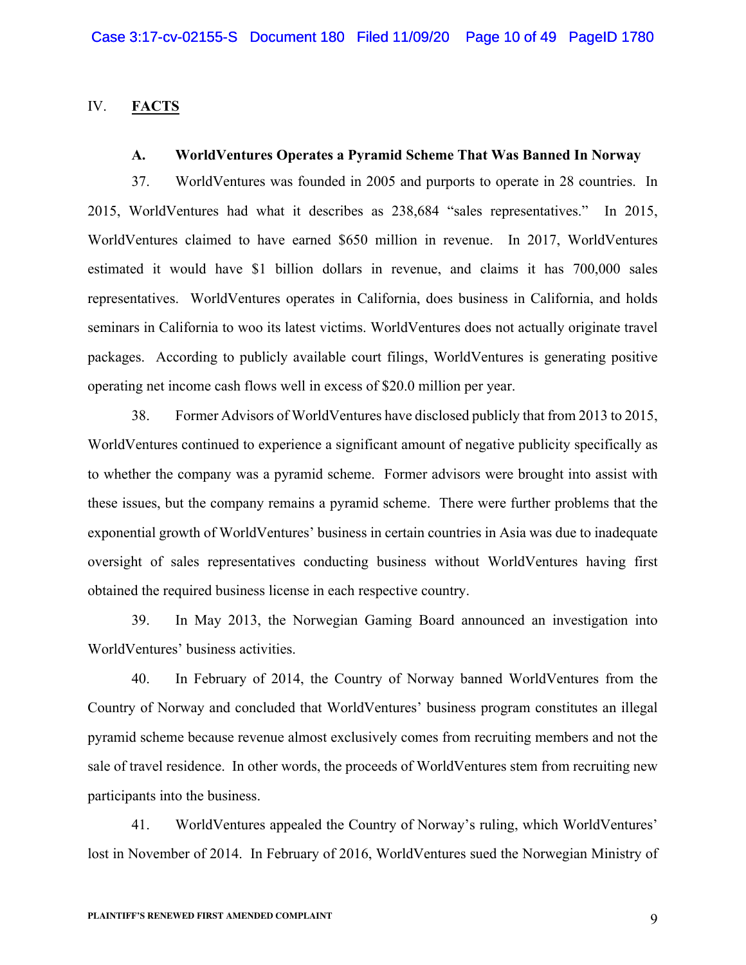# IV. **FACTS**

# **A. WorldVentures Operates a Pyramid Scheme That Was Banned In Norway**

37. WorldVentures was founded in 2005 and purports to operate in 28 countries. In 2015, WorldVentures had what it describes as 238,684 "sales representatives." In 2015, WorldVentures claimed to have earned \$650 million in revenue. In 2017, WorldVentures estimated it would have \$1 billion dollars in revenue, and claims it has 700,000 sales representatives. WorldVentures operates in California, does business in California, and holds seminars in California to woo its latest victims. WorldVentures does not actually originate travel packages. According to publicly available court filings, WorldVentures is generating positive operating net income cash flows well in excess of \$20.0 million per year.

38. Former Advisors of WorldVentures have disclosed publicly that from 2013 to 2015, WorldVentures continued to experience a significant amount of negative publicity specifically as to whether the company was a pyramid scheme. Former advisors were brought into assist with these issues, but the company remains a pyramid scheme. There were further problems that the exponential growth of WorldVentures' business in certain countries in Asia was due to inadequate oversight of sales representatives conducting business without WorldVentures having first obtained the required business license in each respective country.

39. In May 2013, the Norwegian Gaming Board announced an investigation into WorldVentures' business activities.

40. In February of 2014, the Country of Norway banned WorldVentures from the Country of Norway and concluded that WorldVentures' business program constitutes an illegal pyramid scheme because revenue almost exclusively comes from recruiting members and not the sale of travel residence. In other words, the proceeds of WorldVentures stem from recruiting new participants into the business.

41. WorldVentures appealed the Country of Norway's ruling, which WorldVentures' lost in November of 2014. In February of 2016, WorldVentures sued the Norwegian Ministry of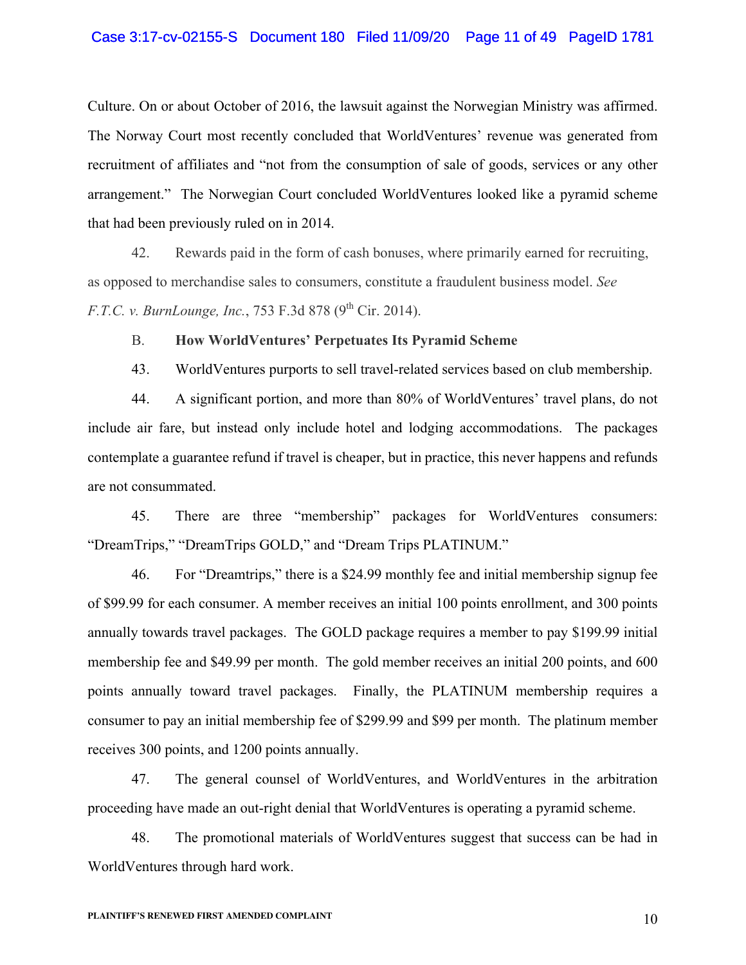Culture. On or about October of 2016, the lawsuit against the Norwegian Ministry was affirmed. The Norway Court most recently concluded that WorldVentures' revenue was generated from recruitment of affiliates and "not from the consumption of sale of goods, services or any other arrangement." The Norwegian Court concluded WorldVentures looked like a pyramid scheme that had been previously ruled on in 2014.

42. Rewards paid in the form of cash bonuses, where primarily earned for recruiting, as opposed to merchandise sales to consumers, constitute a fraudulent business model. *See F.T.C. v. BurnLounge, Inc., 753 F.3d 878 (9<sup>th</sup> Cir. 2014).* 

# B. **How WorldVentures' Perpetuates Its Pyramid Scheme**

43. WorldVentures purports to sell travel-related services based on club membership.

44. A significant portion, and more than 80% of WorldVentures' travel plans, do not include air fare, but instead only include hotel and lodging accommodations. The packages contemplate a guarantee refund if travel is cheaper, but in practice, this never happens and refunds are not consummated.

45. There are three "membership" packages for WorldVentures consumers: "DreamTrips," "DreamTrips GOLD," and "Dream Trips PLATINUM."

46. For "Dreamtrips," there is a \$24.99 monthly fee and initial membership signup fee of \$99.99 for each consumer. A member receives an initial 100 points enrollment, and 300 points annually towards travel packages. The GOLD package requires a member to pay \$199.99 initial membership fee and \$49.99 per month. The gold member receives an initial 200 points, and 600 points annually toward travel packages. Finally, the PLATINUM membership requires a consumer to pay an initial membership fee of \$299.99 and \$99 per month. The platinum member receives 300 points, and 1200 points annually.

47. The general counsel of WorldVentures, and WorldVentures in the arbitration proceeding have made an out-right denial that WorldVentures is operating a pyramid scheme.

48. The promotional materials of WorldVentures suggest that success can be had in WorldVentures through hard work.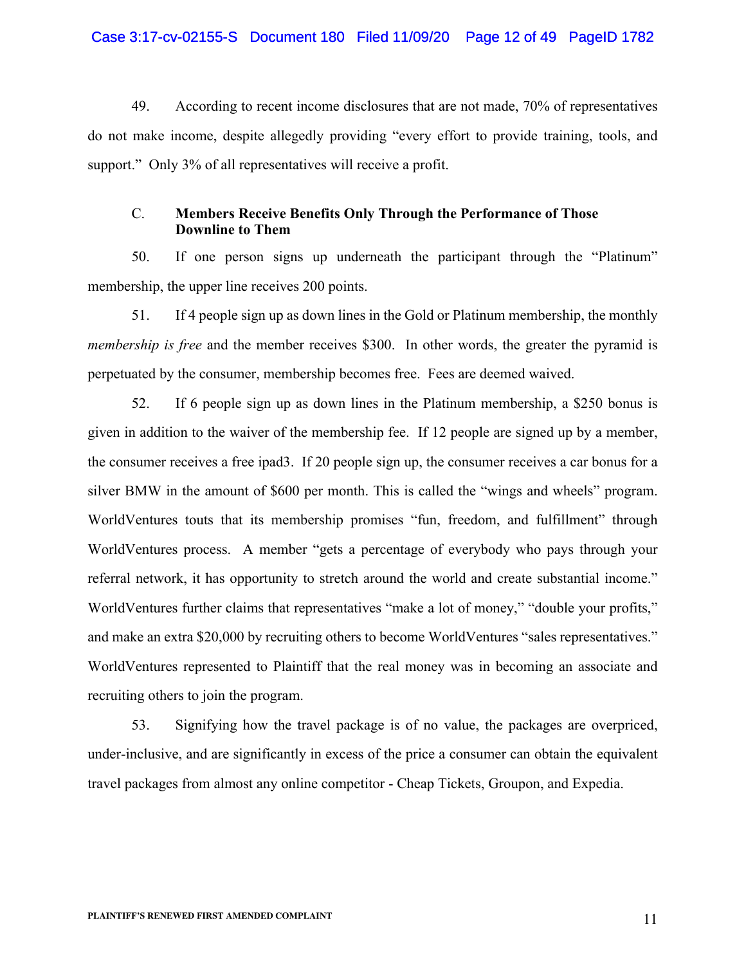49. According to recent income disclosures that are not made, 70% of representatives do not make income, despite allegedly providing "every effort to provide training, tools, and support." Only 3% of all representatives will receive a profit.

# C. **Members Receive Benefits Only Through the Performance of Those Downline to Them**

50. If one person signs up underneath the participant through the "Platinum" membership, the upper line receives 200 points.

51. If 4 people sign up as down lines in the Gold or Platinum membership, the monthly *membership is free* and the member receives \$300. In other words, the greater the pyramid is perpetuated by the consumer, membership becomes free. Fees are deemed waived.

52. If 6 people sign up as down lines in the Platinum membership, a \$250 bonus is given in addition to the waiver of the membership fee. If 12 people are signed up by a member, the consumer receives a free ipad3. If 20 people sign up, the consumer receives a car bonus for a silver BMW in the amount of \$600 per month. This is called the "wings and wheels" program. WorldVentures touts that its membership promises "fun, freedom, and fulfillment" through WorldVentures process. A member "gets a percentage of everybody who pays through your referral network, it has opportunity to stretch around the world and create substantial income." WorldVentures further claims that representatives "make a lot of money," "double your profits," and make an extra \$20,000 by recruiting others to become WorldVentures "sales representatives." WorldVentures represented to Plaintiff that the real money was in becoming an associate and recruiting others to join the program.

53. Signifying how the travel package is of no value, the packages are overpriced, under-inclusive, and are significantly in excess of the price a consumer can obtain the equivalent travel packages from almost any online competitor - Cheap Tickets, Groupon, and Expedia.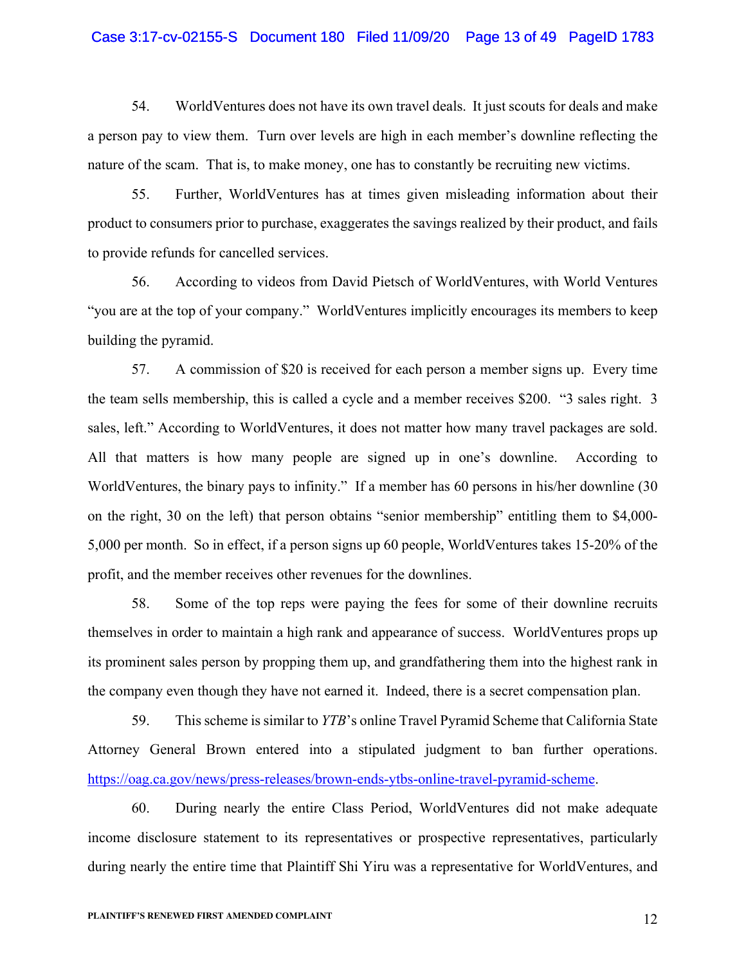#### Case 3:17-cv-02155-S Document 180 Filed 11/09/20 Page 13 of 49 PageID 1783

54. WorldVentures does not have its own travel deals. It just scouts for deals and make a person pay to view them. Turn over levels are high in each member's downline reflecting the nature of the scam. That is, to make money, one has to constantly be recruiting new victims.

55. Further, WorldVentures has at times given misleading information about their product to consumers prior to purchase, exaggerates the savings realized by their product, and fails to provide refunds for cancelled services.

56. According to videos from David Pietsch of WorldVentures, with World Ventures "you are at the top of your company." WorldVentures implicitly encourages its members to keep building the pyramid.

57. A commission of \$20 is received for each person a member signs up. Every time the team sells membership, this is called a cycle and a member receives \$200. "3 sales right. 3 sales, left." According to WorldVentures, it does not matter how many travel packages are sold. All that matters is how many people are signed up in one's downline. According to WorldVentures, the binary pays to infinity." If a member has 60 persons in his/her downline (30 on the right, 30 on the left) that person obtains "senior membership" entitling them to \$4,000- 5,000 per month. So in effect, if a person signs up 60 people, WorldVentures takes 15-20% of the profit, and the member receives other revenues for the downlines.

58. Some of the top reps were paying the fees for some of their downline recruits themselves in order to maintain a high rank and appearance of success. WorldVentures props up its prominent sales person by propping them up, and grandfathering them into the highest rank in the company even though they have not earned it. Indeed, there is a secret compensation plan.

59. This scheme is similar to *YTB*'s online Travel Pyramid Scheme that California State Attorney General Brown entered into a stipulated judgment to ban further operations. https://oag.ca.gov/news/press-releases/brown-ends-ytbs-online-travel-pyramid-scheme.

60. During nearly the entire Class Period, WorldVentures did not make adequate income disclosure statement to its representatives or prospective representatives, particularly during nearly the entire time that Plaintiff Shi Yiru was a representative for WorldVentures, and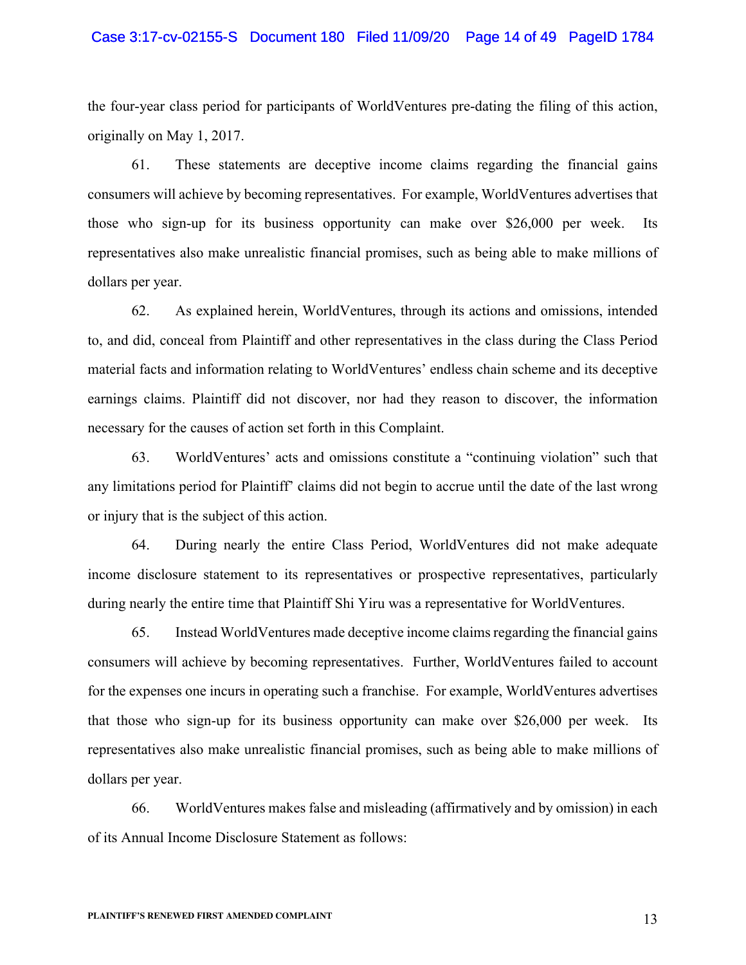#### Case 3:17-cv-02155-S Document 180 Filed 11/09/20 Page 14 of 49 PageID 1784

the four-year class period for participants of WorldVentures pre-dating the filing of this action, originally on May 1, 2017.

61. These statements are deceptive income claims regarding the financial gains consumers will achieve by becoming representatives. For example, WorldVentures advertises that those who sign-up for its business opportunity can make over \$26,000 per week. Its representatives also make unrealistic financial promises, such as being able to make millions of dollars per year.

62. As explained herein, WorldVentures, through its actions and omissions, intended to, and did, conceal from Plaintiff and other representatives in the class during the Class Period material facts and information relating to WorldVentures' endless chain scheme and its deceptive earnings claims. Plaintiff did not discover, nor had they reason to discover, the information necessary for the causes of action set forth in this Complaint.

63. WorldVentures' acts and omissions constitute a "continuing violation" such that any limitations period for Plaintiff' claims did not begin to accrue until the date of the last wrong or injury that is the subject of this action.

64. During nearly the entire Class Period, WorldVentures did not make adequate income disclosure statement to its representatives or prospective representatives, particularly during nearly the entire time that Plaintiff Shi Yiru was a representative for WorldVentures.

65. Instead WorldVentures made deceptive income claims regarding the financial gains consumers will achieve by becoming representatives. Further, WorldVentures failed to account for the expenses one incurs in operating such a franchise. For example, WorldVentures advertises that those who sign-up for its business opportunity can make over \$26,000 per week. Its representatives also make unrealistic financial promises, such as being able to make millions of dollars per year.

66. WorldVentures makes false and misleading (affirmatively and by omission) in each of its Annual Income Disclosure Statement as follows: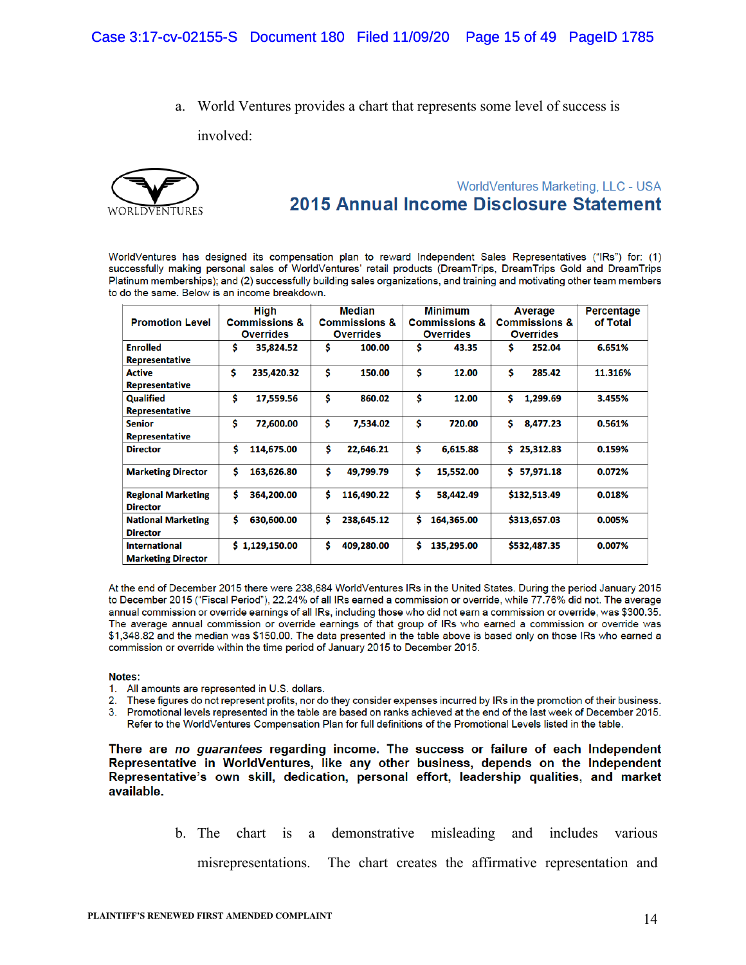a. World Ventures provides a chart that represents some level of success is

involved:



# WorldVentures Marketing, LLC - USA 2015 Annual Income Disclosure Statement

WorldVentures has designed its compensation plan to reward Independent Sales Representatives ("IRs") for: (1) successfully making personal sales of WorldVentures' retail products (DreamTrips, DreamTrips Gold and DreamTrips Platinum memberships); and (2) successfully building sales organizations, and training and motivating other team members to do the same. Below is an income breakdown.

|                           | High                     | <b>Median</b>            | <b>Minimum</b>           | Average                  | <b>Percentage</b> |
|---------------------------|--------------------------|--------------------------|--------------------------|--------------------------|-------------------|
| <b>Promotion Level</b>    | <b>Commissions &amp;</b> | <b>Commissions &amp;</b> | <b>Commissions &amp;</b> | <b>Commissions &amp;</b> | of Total          |
|                           | <b>Overrides</b>         | <b>Overrides</b>         | <b>Overrides</b>         | <b>Overrides</b>         |                   |
| <b>Enrolled</b>           | Ś<br>35,824.52           | Ś<br>100.00              | Ś<br>43.35               | Ś<br>252.04              | 6.651%            |
| <b>Representative</b>     |                          |                          |                          |                          |                   |
| <b>Active</b>             | \$<br>235,420.32         | \$<br>150.00             | \$<br>12.00              | \$<br>285.42             | 11.316%           |
| <b>Representative</b>     |                          |                          |                          |                          |                   |
| <b>Qualified</b>          | Ś<br>17,559.56           | Ś<br>860.02              | \$<br>12.00              | Ś<br>1,299.69            | 3.455%            |
| <b>Representative</b>     |                          |                          |                          |                          |                   |
| <b>Senior</b>             | Ś<br>72,600.00           | Ś<br>7,534.02            | \$<br>720.00             | Ś<br>8,477.23            | 0.561%            |
| <b>Representative</b>     |                          |                          |                          |                          |                   |
| <b>Director</b>           | Ś<br>114,675.00          | Ś<br>22,646.21           | \$<br>6,615.88           | 25,312.83<br>Ś.          | 0.159%            |
| <b>Marketing Director</b> | Ś<br>163,626.80          | \$<br>49,799.79          | \$<br>15,552.00          | Ś.<br>57,971.18          | 0.072%            |
| <b>Regional Marketing</b> | Ś<br>364,200.00          | Ś<br>116,490.22          | \$<br>58,442.49          | \$132,513.49             | 0.018%            |
| <b>Director</b>           |                          |                          |                          |                          |                   |
| <b>National Marketing</b> | Ś<br>630,600.00          | Ś<br>238,645.12          | Ś<br>164,365.00          | \$313,657.03             | 0.005%            |
| <b>Director</b>           |                          |                          |                          |                          |                   |
| <b>International</b>      | \$1,129,150.00           | Ś<br>409,280.00          | Ś.<br>135,295.00         | \$532,487.35             | 0.007%            |
| <b>Marketing Director</b> |                          |                          |                          |                          |                   |

At the end of December 2015 there were 238,684 WorldVentures IRs in the United States. During the period January 2015 to December 2015 ("Fiscal Period"), 22.24% of all IRs earned a commission or override, while 77.76% did not. The average annual commission or override earnings of all IRs, including those who did not earn a commission or override, was \$300.35. The average annual commission or override earnings of that group of IRs who earned a commission or override was \$1,348.82 and the median was \$150.00. The data presented in the table above is based only on those IRs who earned a commission or override within the time period of January 2015 to December 2015.

#### Notes:

- 1. All amounts are represented in U.S. dollars.
- $2.$ These figures do not represent profits, nor do they consider expenses incurred by IRs in the promotion of their business.
- 3. Promotional levels represented in the table are based on ranks achieved at the end of the last week of December 2015. Refer to the WorldVentures Compensation Plan for full definitions of the Promotional Levels listed in the table.

There are no guarantees regarding income. The success or failure of each Independent Representative in WorldVentures, like any other business, depends on the Independent Representative's own skill, dedication, personal effort, leadership qualities, and market available.

> b. The chart is a demonstrative misleading and includes various misrepresentations. The chart creates the affirmative representation and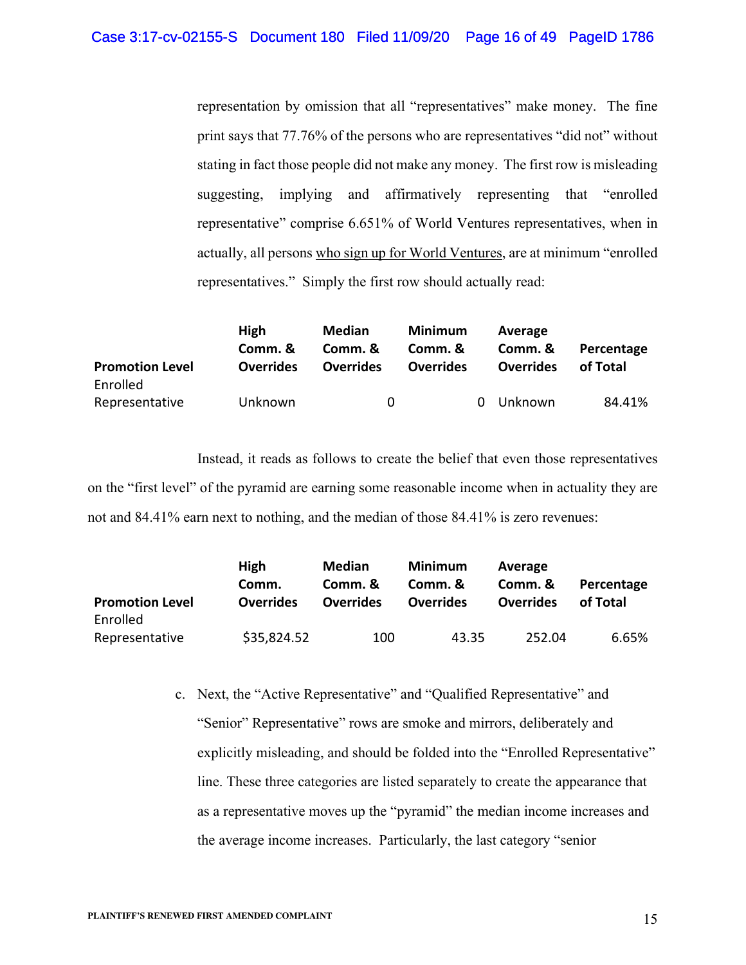representation by omission that all "representatives" make money. The fine print says that 77.76% of the persons who are representatives "did not" without stating in fact those people did not make any money. The first row is misleading suggesting, implying and affirmatively representing that "enrolled representative" comprise 6.651% of World Ventures representatives, when in actually, all persons who sign up for World Ventures, are at minimum "enrolled representatives." Simply the first row should actually read:

| <b>Promotion Level</b><br>Enrolled | <b>High</b><br>Comm. &<br><b>Overrides</b> | Median<br>Comm. &<br><b>Overrides</b> | Minimum<br>Comm. &<br><b>Overrides</b> |          | Average<br>Comm. &<br><b>Overrides</b> | Percentage<br>of Total |
|------------------------------------|--------------------------------------------|---------------------------------------|----------------------------------------|----------|----------------------------------------|------------------------|
| Representative                     | Unknown                                    | 0                                     |                                        | $\Omega$ | Unknown                                | 84.41%                 |

 Instead, it reads as follows to create the belief that even those representatives on the "first level" of the pyramid are earning some reasonable income when in actuality they are not and 84.41% earn next to nothing, and the median of those 84.41% is zero revenues:

| <b>Promotion Level</b><br>Enrolled | <b>High</b><br>Comm.<br><b>Overrides</b> | Median<br>Comm. &<br><b>Overrides</b> | Minimum<br>Comm. &<br><b>Overrides</b> | Average<br>Comm. &<br><b>Overrides</b> | Percentage<br>of Total |
|------------------------------------|------------------------------------------|---------------------------------------|----------------------------------------|----------------------------------------|------------------------|
| Representative                     | \$35,824.52                              | 100                                   | 43.35                                  | 252.04                                 | 6.65%                  |

c. Next, the "Active Representative" and "Qualified Representative" and "Senior" Representative" rows are smoke and mirrors, deliberately and explicitly misleading, and should be folded into the "Enrolled Representative" line. These three categories are listed separately to create the appearance that as a representative moves up the "pyramid" the median income increases and the average income increases. Particularly, the last category "senior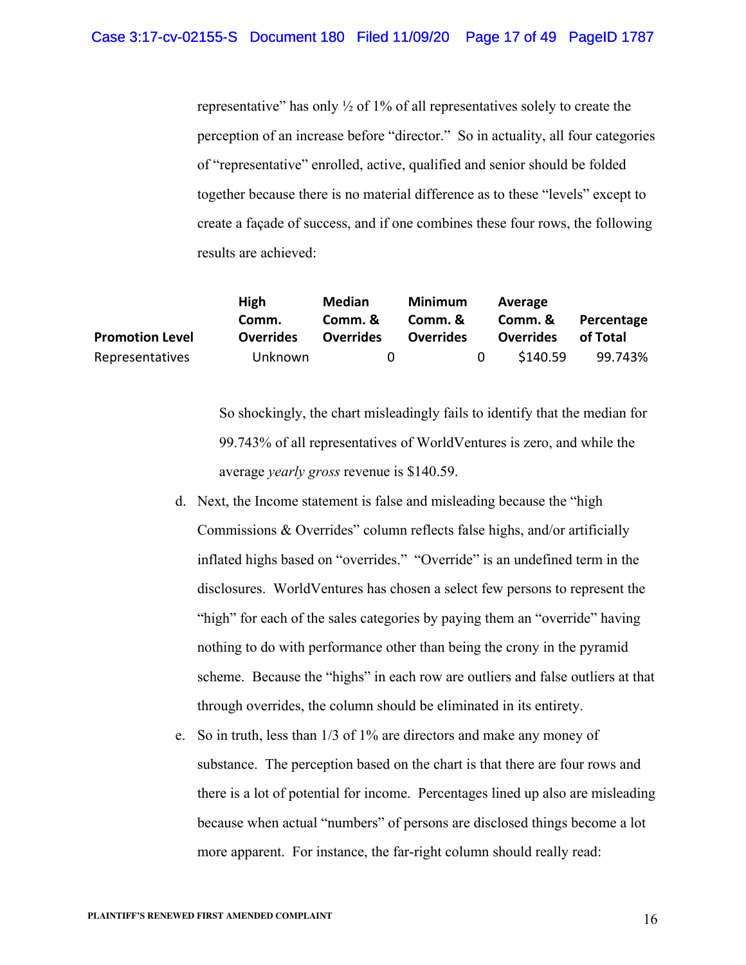representative" has only  $\frac{1}{2}$  of 1% of all representatives solely to create the perception of an increase before "director." So in actuality, all four categories of "representative" enrolled, active, qualified and senior should be folded together because there is no material difference as to these "levels" except to create a façade of success, and if one combines these four rows, the following results are achieved:

|                        | <b>High</b>      | <b>Median</b>    | Minimum          |          | Average          |            |
|------------------------|------------------|------------------|------------------|----------|------------------|------------|
|                        | Comm.            | Comm. &          | Comm. &          |          | Comm. &          | Percentage |
| <b>Promotion Level</b> | <b>Overrides</b> | <b>Overrides</b> | <b>Overrides</b> |          | <b>Overrides</b> | of Total   |
| Representatives        | Unknown          | 0                |                  | $\Omega$ | \$140.59         | 99.743%    |

So shockingly, the chart misleadingly fails to identify that the median for 99.743% of all representatives of WorldVentures is zero, and while the average *yearly gross* revenue is \$140.59.

- d. Next, the Income statement is false and misleading because the "high Commissions & Overrides" column reflects false highs, and/or artificially inflated highs based on "overrides." "Override" is an undefined term in the disclosures. WorldVentures has chosen a select few persons to represent the "high" for each of the sales categories by paying them an "override" having nothing to do with performance other than being the crony in the pyramid scheme. Because the "highs" in each row are outliers and false outliers at that through overrides, the column should be eliminated in its entirety.
- e. So in truth, less than 1/3 of 1% are directors and make any money of substance. The perception based on the chart is that there are four rows and there is a lot of potential for income. Percentages lined up also are misleading because when actual "numbers" of persons are disclosed things become a lot more apparent. For instance, the far-right column should really read: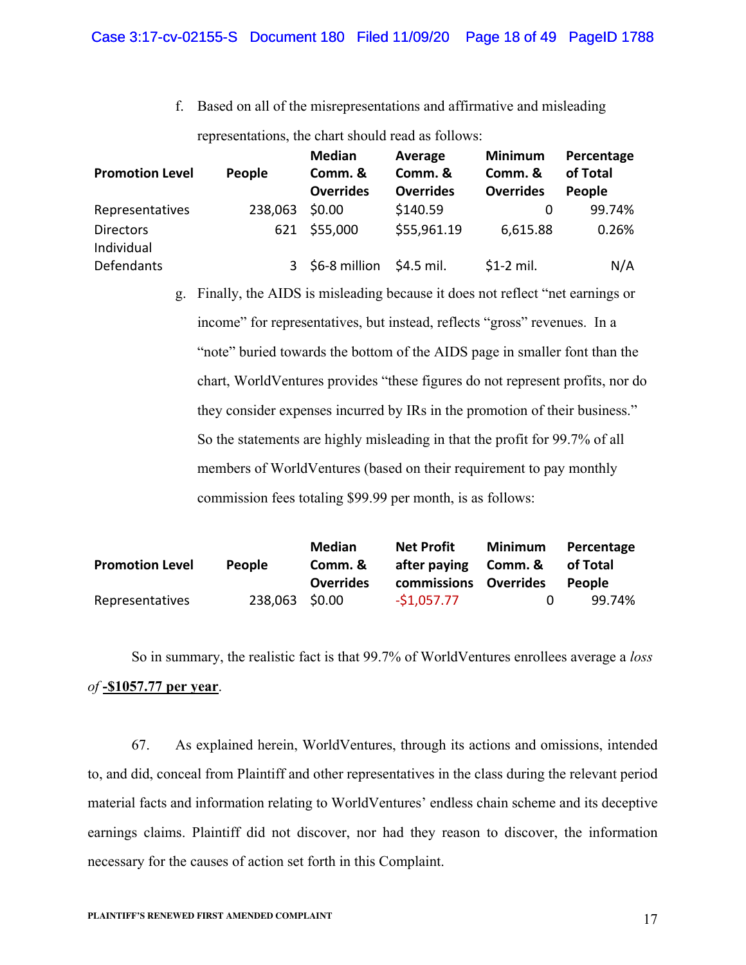f. Based on all of the misrepresentations and affirmative and misleading

representations, the chart should read as follows:

| <b>Promotion Level</b>         | People  | <b>Median</b><br>Comm. &<br><b>Overrides</b> | Average<br>Comm. &<br><b>Overrides</b> | <b>Minimum</b><br>Comm. &<br><b>Overrides</b> | Percentage<br>of Total<br>People |
|--------------------------------|---------|----------------------------------------------|----------------------------------------|-----------------------------------------------|----------------------------------|
| Representatives                | 238,063 | \$0.00                                       | \$140.59                               | 0                                             | 99.74%                           |
| <b>Directors</b><br>Individual | 621     | \$55,000                                     | \$55,961.19                            | 6,615.88                                      | 0.26%                            |
| Defendants                     |         | 3 \$6-8 million \$4.5 mil.                   |                                        | $$1-2$ mil.                                   | N/A                              |

g. Finally, the AIDS is misleading because it does not reflect "net earnings or income" for representatives, but instead, reflects "gross" revenues. In a "note" buried towards the bottom of the AIDS page in smaller font than the chart, WorldVentures provides "these figures do not represent profits, nor do they consider expenses incurred by IRs in the promotion of their business." So the statements are highly misleading in that the profit for 99.7% of all members of WorldVentures (based on their requirement to pay monthly commission fees totaling \$99.99 per month, is as follows:

|                        |                | <b>Median</b>    | <b>Net Profit</b>     | Minimum | Percentage |
|------------------------|----------------|------------------|-----------------------|---------|------------|
| <b>Promotion Level</b> | <b>People</b>  | Comm. &          | after paying Comm. &  |         | of Total   |
|                        |                | <b>Overrides</b> | commissions Overrides |         | People     |
| Representatives        | 238,063 \$0.00 |                  | $-51.057.77$          | n       | 99.74%     |

So in summary, the realistic fact is that 99.7% of WorldVentures enrollees average a *loss of* **-\$1057.77 per year**.

67. As explained herein, WorldVentures, through its actions and omissions, intended to, and did, conceal from Plaintiff and other representatives in the class during the relevant period material facts and information relating to WorldVentures' endless chain scheme and its deceptive earnings claims. Plaintiff did not discover, nor had they reason to discover, the information necessary for the causes of action set forth in this Complaint.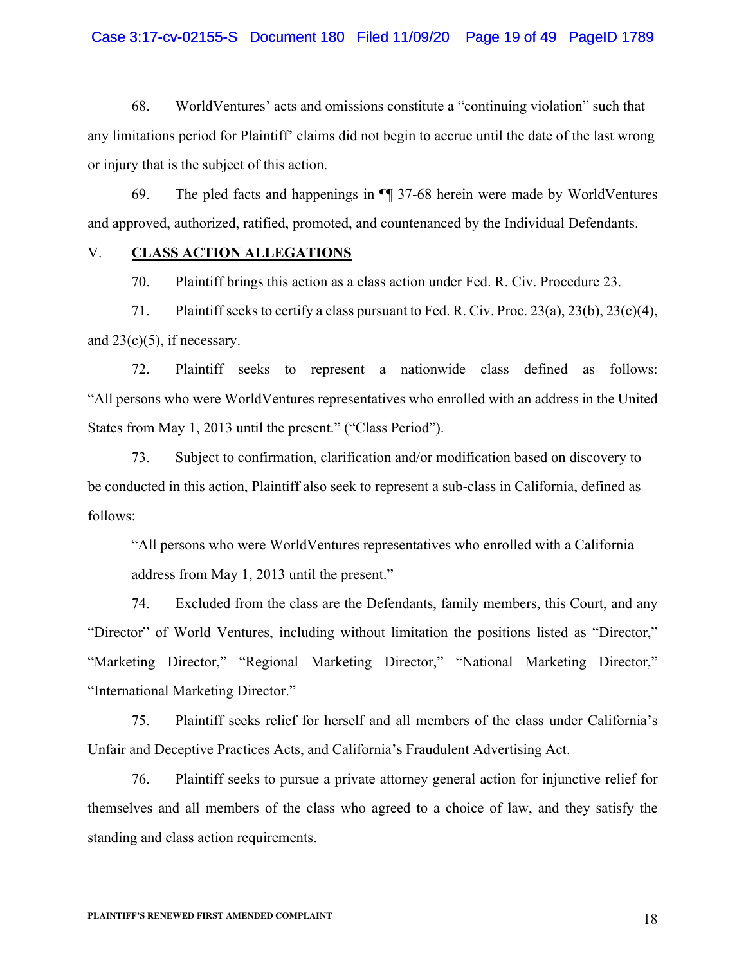# Case 3:17-cv-02155-S Document 180 Filed 11/09/20 Page 19 of 49 PageID 1789

68. WorldVentures' acts and omissions constitute a "continuing violation" such that any limitations period for Plaintiff' claims did not begin to accrue until the date of the last wrong or injury that is the subject of this action.

69. The pled facts and happenings in ¶¶ 37-68 herein were made by WorldVentures and approved, authorized, ratified, promoted, and countenanced by the Individual Defendants.

#### V. **CLASS ACTION ALLEGATIONS**

70. Plaintiff brings this action as a class action under Fed. R. Civ. Procedure 23.

71. Plaintiff seeks to certify a class pursuant to Fed. R. Civ. Proc. 23(a), 23(b), 23(c)(4), and  $23(c)(5)$ , if necessary.

72. Plaintiff seeks to represent a nationwide class defined as follows: "All persons who were WorldVentures representatives who enrolled with an address in the United States from May 1, 2013 until the present." ("Class Period").

73. Subject to confirmation, clarification and/or modification based on discovery to be conducted in this action, Plaintiff also seek to represent a sub-class in California, defined as follows:

"All persons who were WorldVentures representatives who enrolled with a California address from May 1, 2013 until the present."

74. Excluded from the class are the Defendants, family members, this Court, and any "Director" of World Ventures, including without limitation the positions listed as "Director," "Marketing Director," "Regional Marketing Director," "National Marketing Director," "International Marketing Director."

75. Plaintiff seeks relief for herself and all members of the class under California's Unfair and Deceptive Practices Acts, and California's Fraudulent Advertising Act.

76. Plaintiff seeks to pursue a private attorney general action for injunctive relief for themselves and all members of the class who agreed to a choice of law, and they satisfy the standing and class action requirements.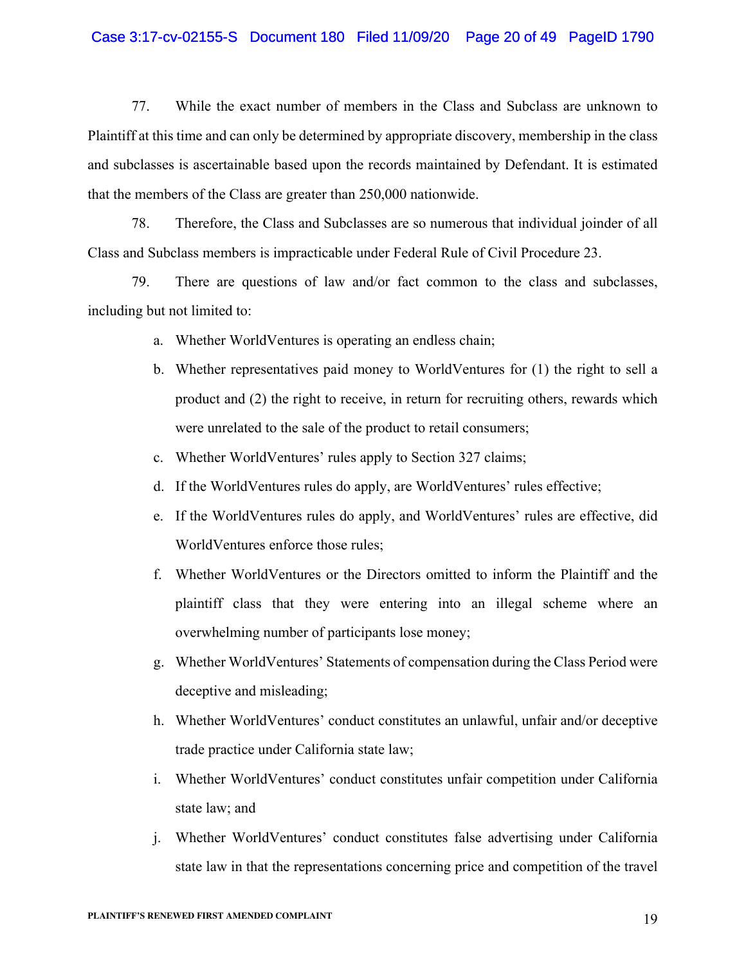# Case 3:17-cv-02155-S Document 180 Filed 11/09/20 Page 20 of 49 PageID 1790

77. While the exact number of members in the Class and Subclass are unknown to Plaintiff at this time and can only be determined by appropriate discovery, membership in the class and subclasses is ascertainable based upon the records maintained by Defendant. It is estimated that the members of the Class are greater than 250,000 nationwide.

78. Therefore, the Class and Subclasses are so numerous that individual joinder of all Class and Subclass members is impracticable under Federal Rule of Civil Procedure 23.

79. There are questions of law and/or fact common to the class and subclasses, including but not limited to:

- a. Whether WorldVentures is operating an endless chain;
- b. Whether representatives paid money to WorldVentures for (1) the right to sell a product and (2) the right to receive, in return for recruiting others, rewards which were unrelated to the sale of the product to retail consumers;
- c. Whether WorldVentures' rules apply to Section 327 claims;
- d. If the WorldVentures rules do apply, are WorldVentures' rules effective;
- e. If the WorldVentures rules do apply, and WorldVentures' rules are effective, did WorldVentures enforce those rules;
- f. Whether WorldVentures or the Directors omitted to inform the Plaintiff and the plaintiff class that they were entering into an illegal scheme where an overwhelming number of participants lose money;
- g. Whether WorldVentures' Statements of compensation during the Class Period were deceptive and misleading;
- h. Whether WorldVentures' conduct constitutes an unlawful, unfair and/or deceptive trade practice under California state law;
- i. Whether WorldVentures' conduct constitutes unfair competition under California state law; and
- j. Whether WorldVentures' conduct constitutes false advertising under California state law in that the representations concerning price and competition of the travel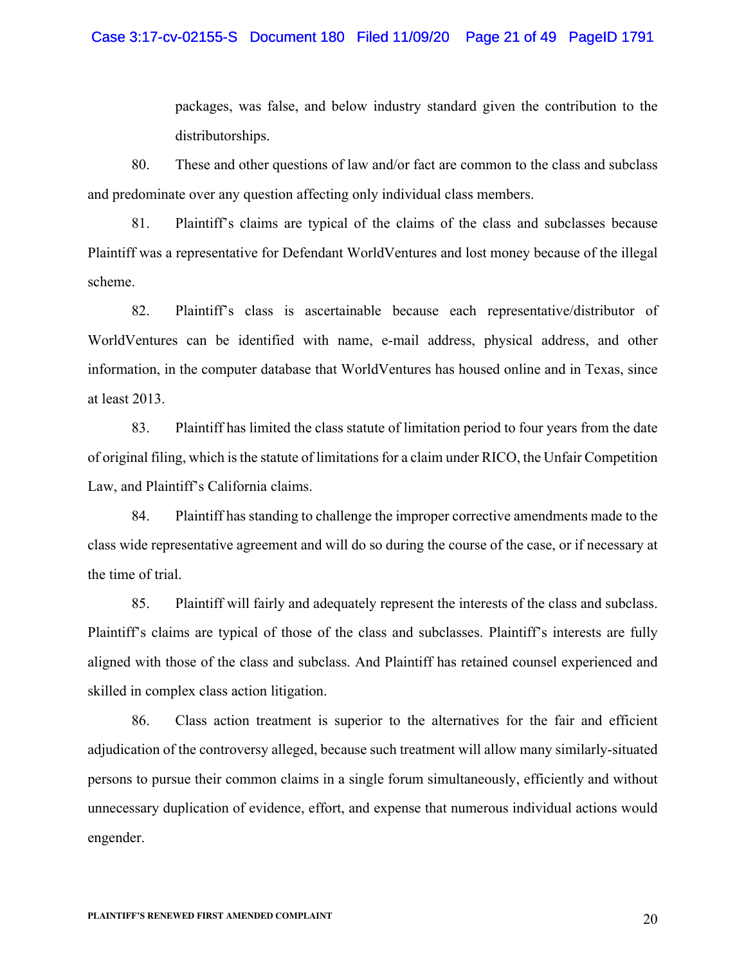#### Case 3:17-cv-02155-S Document 180 Filed 11/09/20 Page 21 of 49 PageID 1791

packages, was false, and below industry standard given the contribution to the distributorships.

80. These and other questions of law and/or fact are common to the class and subclass and predominate over any question affecting only individual class members.

81. Plaintiff's claims are typical of the claims of the class and subclasses because Plaintiff was a representative for Defendant WorldVentures and lost money because of the illegal scheme.

82. Plaintiff's class is ascertainable because each representative/distributor of WorldVentures can be identified with name, e-mail address, physical address, and other information, in the computer database that WorldVentures has housed online and in Texas, since at least 2013.

83. Plaintiff has limited the class statute of limitation period to four years from the date of original filing, which is the statute of limitations for a claim under RICO, the Unfair Competition Law, and Plaintiff's California claims.

84. Plaintiff has standing to challenge the improper corrective amendments made to the class wide representative agreement and will do so during the course of the case, or if necessary at the time of trial.

85. Plaintiff will fairly and adequately represent the interests of the class and subclass. Plaintiff's claims are typical of those of the class and subclasses. Plaintiff's interests are fully aligned with those of the class and subclass. And Plaintiff has retained counsel experienced and skilled in complex class action litigation.

86. Class action treatment is superior to the alternatives for the fair and efficient adjudication of the controversy alleged, because such treatment will allow many similarly-situated persons to pursue their common claims in a single forum simultaneously, efficiently and without unnecessary duplication of evidence, effort, and expense that numerous individual actions would engender.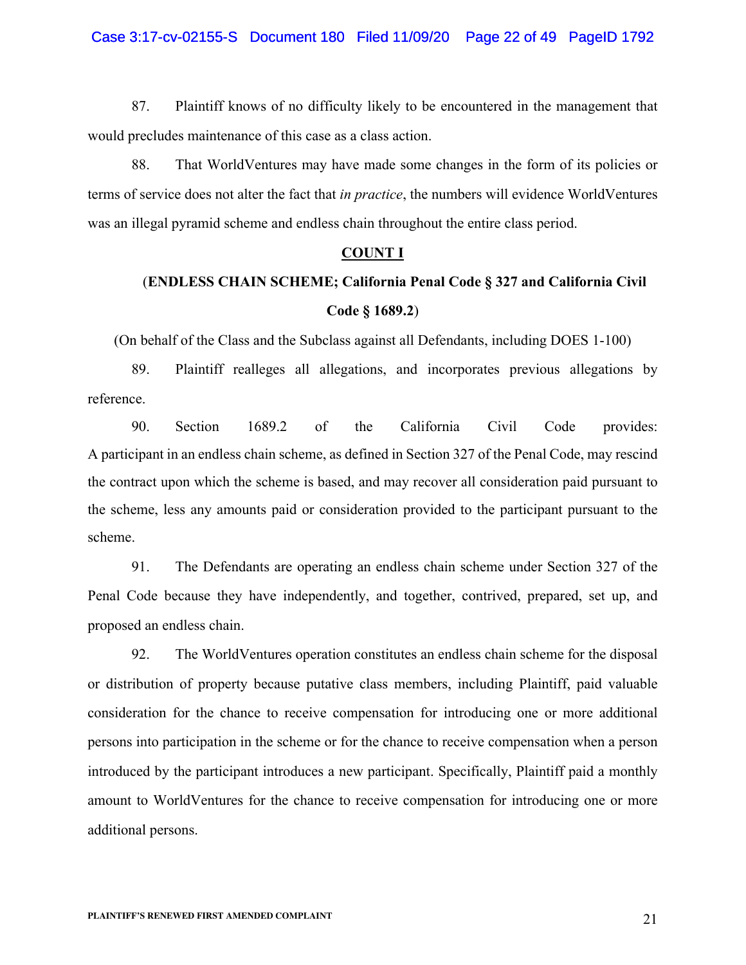87. Plaintiff knows of no difficulty likely to be encountered in the management that would precludes maintenance of this case as a class action.

88. That WorldVentures may have made some changes in the form of its policies or terms of service does not alter the fact that *in practice*, the numbers will evidence WorldVentures was an illegal pyramid scheme and endless chain throughout the entire class period.

#### **COUNT I**

# (**ENDLESS CHAIN SCHEME; California Penal Code § 327 and California Civil Code § 1689.2**)

(On behalf of the Class and the Subclass against all Defendants, including DOES 1-100)

89. Plaintiff realleges all allegations, and incorporates previous allegations by reference.

90. Section 1689.2 of the California Civil Code provides: A participant in an endless chain scheme, as defined in Section 327 of the Penal Code, may rescind the contract upon which the scheme is based, and may recover all consideration paid pursuant to the scheme, less any amounts paid or consideration provided to the participant pursuant to the scheme.

91. The Defendants are operating an endless chain scheme under Section 327 of the Penal Code because they have independently, and together, contrived, prepared, set up, and proposed an endless chain.

92. The WorldVentures operation constitutes an endless chain scheme for the disposal or distribution of property because putative class members, including Plaintiff, paid valuable consideration for the chance to receive compensation for introducing one or more additional persons into participation in the scheme or for the chance to receive compensation when a person introduced by the participant introduces a new participant. Specifically, Plaintiff paid a monthly amount to WorldVentures for the chance to receive compensation for introducing one or more additional persons.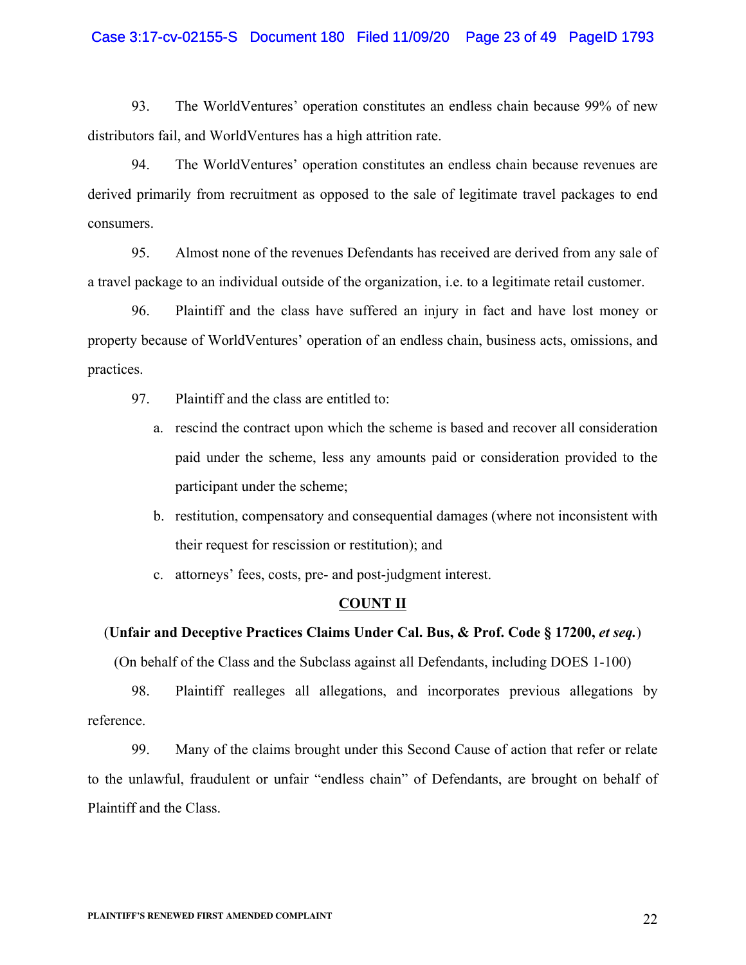# Case 3:17-cv-02155-S Document 180 Filed 11/09/20 Page 23 of 49 PageID 1793

93. The WorldVentures' operation constitutes an endless chain because 99% of new distributors fail, and WorldVentures has a high attrition rate.

94. The WorldVentures' operation constitutes an endless chain because revenues are derived primarily from recruitment as opposed to the sale of legitimate travel packages to end consumers.

95. Almost none of the revenues Defendants has received are derived from any sale of a travel package to an individual outside of the organization, i.e. to a legitimate retail customer.

96. Plaintiff and the class have suffered an injury in fact and have lost money or property because of WorldVentures' operation of an endless chain, business acts, omissions, and practices.

- 97. Plaintiff and the class are entitled to:
	- a. rescind the contract upon which the scheme is based and recover all consideration paid under the scheme, less any amounts paid or consideration provided to the participant under the scheme;
	- b. restitution, compensatory and consequential damages (where not inconsistent with their request for rescission or restitution); and
	- c. attorneys' fees, costs, pre- and post-judgment interest.

# **COUNT II**

# (**Unfair and Deceptive Practices Claims Under Cal. Bus, & Prof. Code § 17200,** *et seq.*)

(On behalf of the Class and the Subclass against all Defendants, including DOES 1-100)

98. Plaintiff realleges all allegations, and incorporates previous allegations by reference.

99. Many of the claims brought under this Second Cause of action that refer or relate to the unlawful, fraudulent or unfair "endless chain" of Defendants, are brought on behalf of Plaintiff and the Class.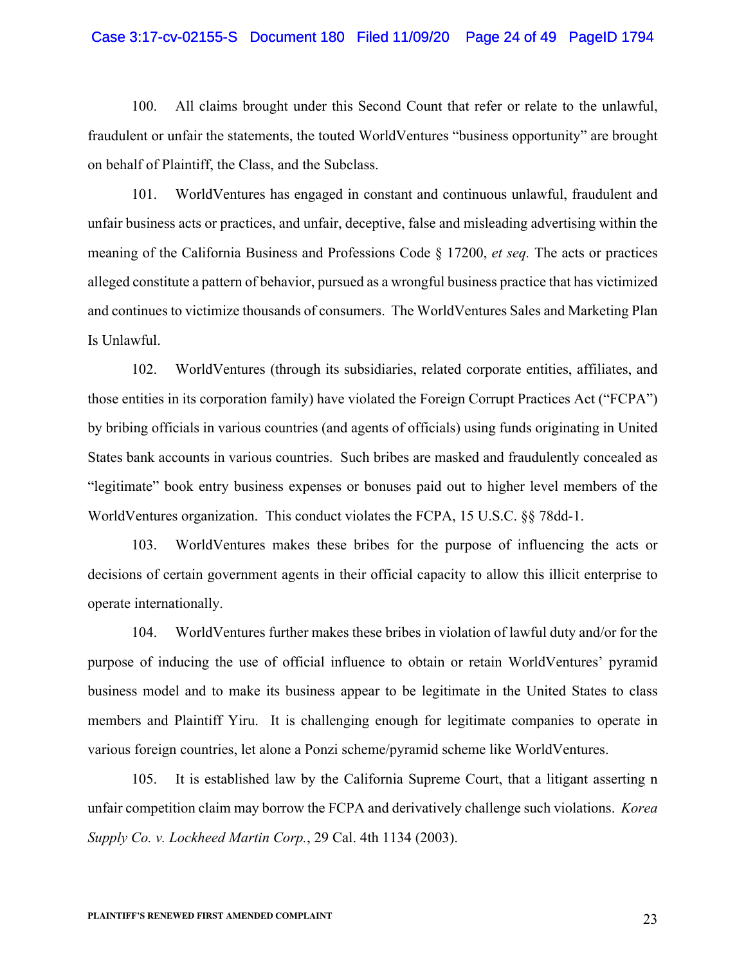#### Case 3:17-cv-02155-S Document 180 Filed 11/09/20 Page 24 of 49 PageID 1794

100. All claims brought under this Second Count that refer or relate to the unlawful, fraudulent or unfair the statements, the touted WorldVentures "business opportunity" are brought on behalf of Plaintiff, the Class, and the Subclass.

101. WorldVentures has engaged in constant and continuous unlawful, fraudulent and unfair business acts or practices, and unfair, deceptive, false and misleading advertising within the meaning of the California Business and Professions Code § 17200, *et seq.* The acts or practices alleged constitute a pattern of behavior, pursued as a wrongful business practice that has victimized and continues to victimize thousands of consumers. The WorldVentures Sales and Marketing Plan Is Unlawful.

102. WorldVentures (through its subsidiaries, related corporate entities, affiliates, and those entities in its corporation family) have violated the Foreign Corrupt Practices Act ("FCPA") by bribing officials in various countries (and agents of officials) using funds originating in United States bank accounts in various countries. Such bribes are masked and fraudulently concealed as "legitimate" book entry business expenses or bonuses paid out to higher level members of the WorldVentures organization. This conduct violates the FCPA, 15 U.S.C. §§ 78dd-1.

103. WorldVentures makes these bribes for the purpose of influencing the acts or decisions of certain government agents in their official capacity to allow this illicit enterprise to operate internationally.

104. WorldVentures further makes these bribes in violation of lawful duty and/or for the purpose of inducing the use of official influence to obtain or retain WorldVentures' pyramid business model and to make its business appear to be legitimate in the United States to class members and Plaintiff Yiru. It is challenging enough for legitimate companies to operate in various foreign countries, let alone a Ponzi scheme/pyramid scheme like WorldVentures.

105. It is established law by the California Supreme Court, that a litigant asserting n unfair competition claim may borrow the FCPA and derivatively challenge such violations. *Korea Supply Co. v. Lockheed Martin Corp.*, 29 Cal. 4th 1134 (2003).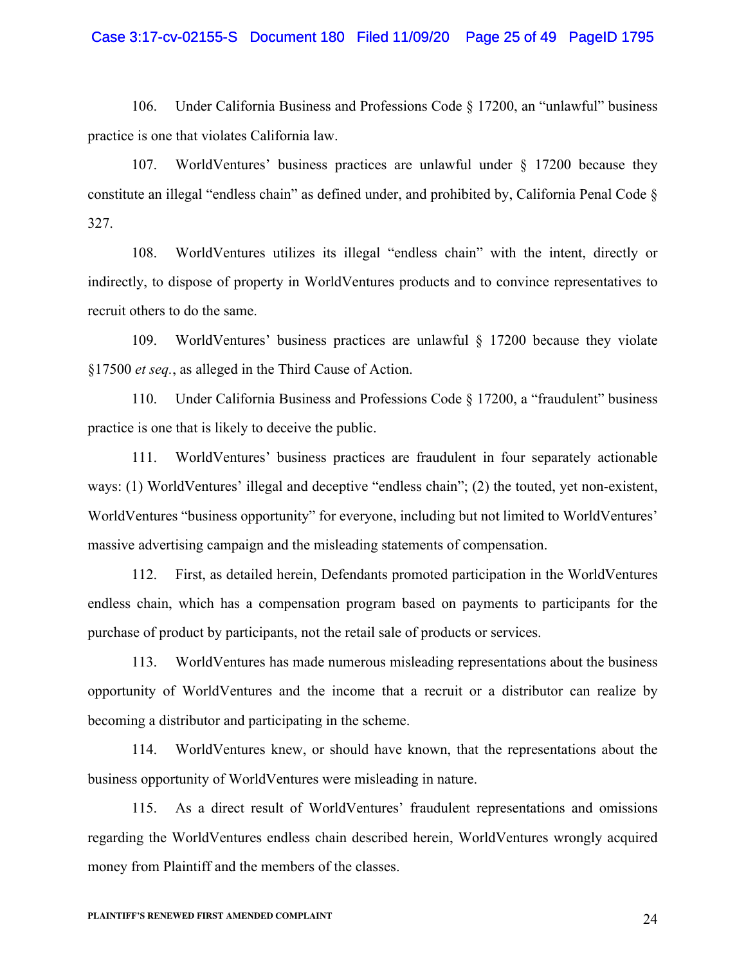#### Case 3:17-cv-02155-S Document 180 Filed 11/09/20 Page 25 of 49 PageID 1795

106. Under California Business and Professions Code § 17200, an "unlawful" business practice is one that violates California law.

107. WorldVentures' business practices are unlawful under § 17200 because they constitute an illegal "endless chain" as defined under, and prohibited by, California Penal Code § 327.

108. WorldVentures utilizes its illegal "endless chain" with the intent, directly or indirectly, to dispose of property in WorldVentures products and to convince representatives to recruit others to do the same.

109. WorldVentures' business practices are unlawful § 17200 because they violate §17500 *et seq.*, as alleged in the Third Cause of Action.

110. Under California Business and Professions Code § 17200, a "fraudulent" business practice is one that is likely to deceive the public.

111. WorldVentures' business practices are fraudulent in four separately actionable ways: (1) WorldVentures' illegal and deceptive "endless chain"; (2) the touted, yet non-existent, WorldVentures "business opportunity" for everyone, including but not limited to WorldVentures' massive advertising campaign and the misleading statements of compensation.

112. First, as detailed herein, Defendants promoted participation in the WorldVentures endless chain, which has a compensation program based on payments to participants for the purchase of product by participants, not the retail sale of products or services.

113. WorldVentures has made numerous misleading representations about the business opportunity of WorldVentures and the income that a recruit or a distributor can realize by becoming a distributor and participating in the scheme.

114. WorldVentures knew, or should have known, that the representations about the business opportunity of WorldVentures were misleading in nature.

115. As a direct result of WorldVentures' fraudulent representations and omissions regarding the WorldVentures endless chain described herein, WorldVentures wrongly acquired money from Plaintiff and the members of the classes.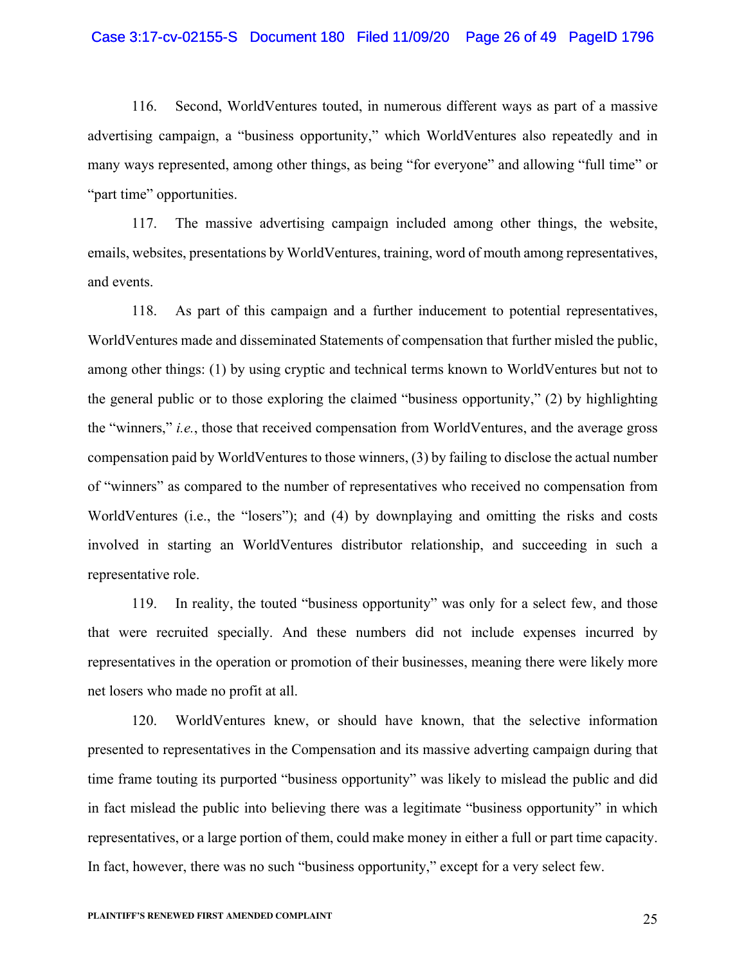#### Case 3:17-cv-02155-S Document 180 Filed 11/09/20 Page 26 of 49 PageID 1796

116. Second, WorldVentures touted, in numerous different ways as part of a massive advertising campaign, a "business opportunity," which WorldVentures also repeatedly and in many ways represented, among other things, as being "for everyone" and allowing "full time" or "part time" opportunities.

117. The massive advertising campaign included among other things, the website, emails, websites, presentations by WorldVentures, training, word of mouth among representatives, and events.

118. As part of this campaign and a further inducement to potential representatives, WorldVentures made and disseminated Statements of compensation that further misled the public, among other things: (1) by using cryptic and technical terms known to WorldVentures but not to the general public or to those exploring the claimed "business opportunity," (2) by highlighting the "winners," *i.e.*, those that received compensation from WorldVentures, and the average gross compensation paid by WorldVentures to those winners, (3) by failing to disclose the actual number of "winners" as compared to the number of representatives who received no compensation from WorldVentures (i.e., the "losers"); and (4) by downplaying and omitting the risks and costs involved in starting an WorldVentures distributor relationship, and succeeding in such a representative role.

119. In reality, the touted "business opportunity" was only for a select few, and those that were recruited specially. And these numbers did not include expenses incurred by representatives in the operation or promotion of their businesses, meaning there were likely more net losers who made no profit at all.

120. WorldVentures knew, or should have known, that the selective information presented to representatives in the Compensation and its massive adverting campaign during that time frame touting its purported "business opportunity" was likely to mislead the public and did in fact mislead the public into believing there was a legitimate "business opportunity" in which representatives, or a large portion of them, could make money in either a full or part time capacity. In fact, however, there was no such "business opportunity," except for a very select few.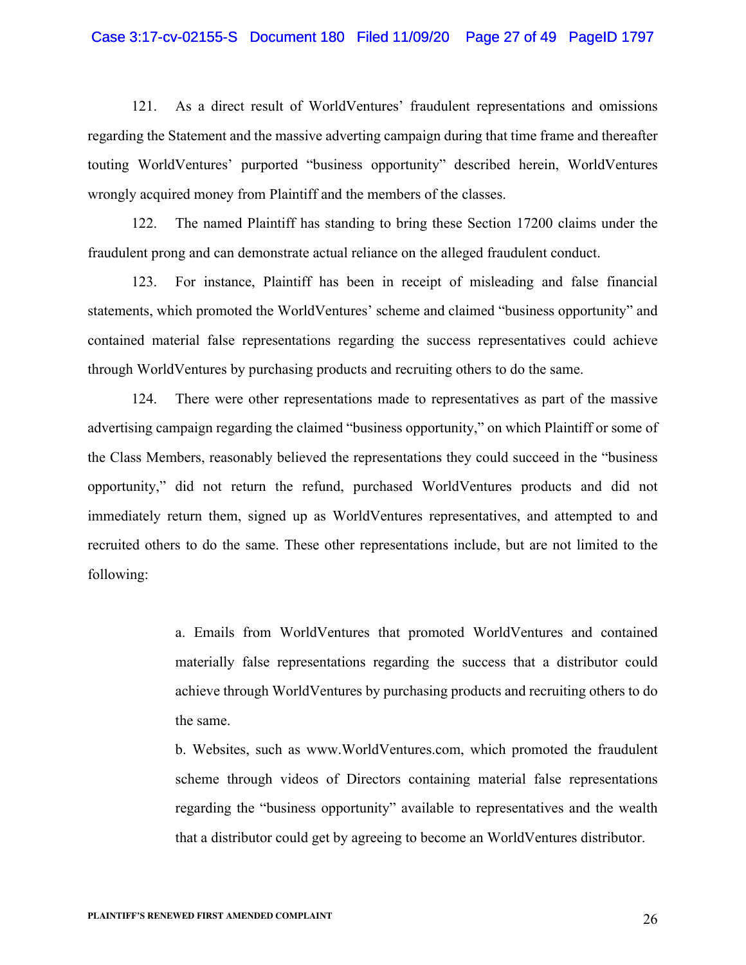#### Case 3:17-cv-02155-S Document 180 Filed 11/09/20 Page 27 of 49 PageID 1797

121. As a direct result of WorldVentures' fraudulent representations and omissions regarding the Statement and the massive adverting campaign during that time frame and thereafter touting WorldVentures' purported "business opportunity" described herein, WorldVentures wrongly acquired money from Plaintiff and the members of the classes.

122. The named Plaintiff has standing to bring these Section 17200 claims under the fraudulent prong and can demonstrate actual reliance on the alleged fraudulent conduct.

123. For instance, Plaintiff has been in receipt of misleading and false financial statements, which promoted the WorldVentures' scheme and claimed "business opportunity" and contained material false representations regarding the success representatives could achieve through WorldVentures by purchasing products and recruiting others to do the same.

124. There were other representations made to representatives as part of the massive advertising campaign regarding the claimed "business opportunity," on which Plaintiff or some of the Class Members, reasonably believed the representations they could succeed in the "business opportunity," did not return the refund, purchased WorldVentures products and did not immediately return them, signed up as WorldVentures representatives, and attempted to and recruited others to do the same. These other representations include, but are not limited to the following:

> a. Emails from WorldVentures that promoted WorldVentures and contained materially false representations regarding the success that a distributor could achieve through WorldVentures by purchasing products and recruiting others to do the same.

> b. Websites, such as www.WorldVentures.com, which promoted the fraudulent scheme through videos of Directors containing material false representations regarding the "business opportunity" available to representatives and the wealth that a distributor could get by agreeing to become an WorldVentures distributor.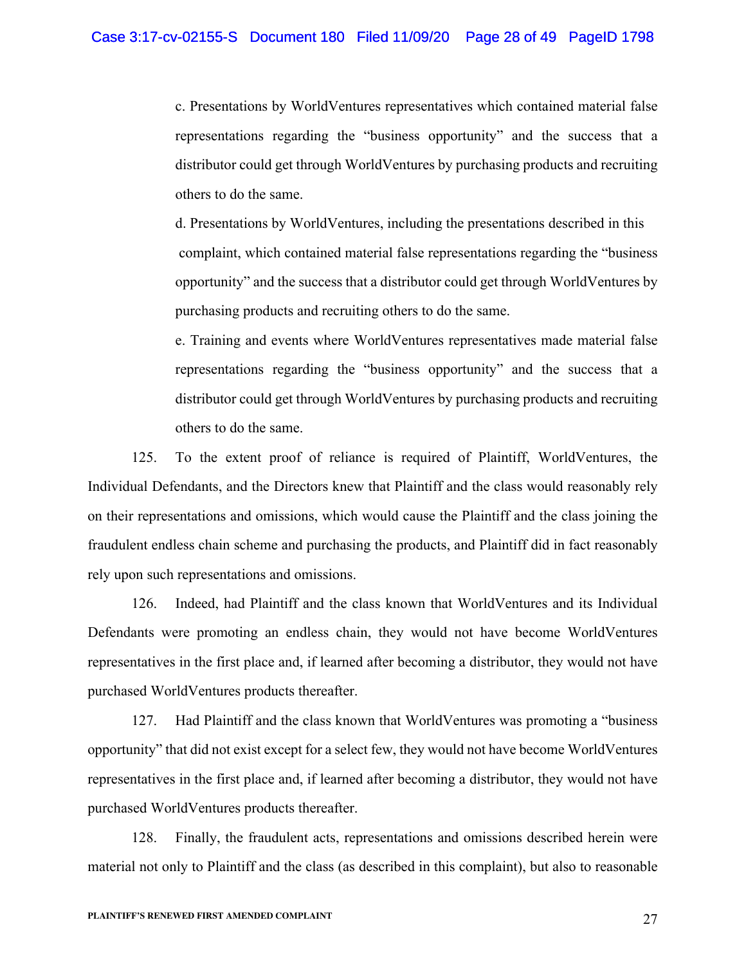c. Presentations by WorldVentures representatives which contained material false representations regarding the "business opportunity" and the success that a distributor could get through WorldVentures by purchasing products and recruiting others to do the same.

d. Presentations by WorldVentures, including the presentations described in this complaint, which contained material false representations regarding the "business opportunity" and the success that a distributor could get through WorldVentures by purchasing products and recruiting others to do the same.

e. Training and events where WorldVentures representatives made material false representations regarding the "business opportunity" and the success that a distributor could get through WorldVentures by purchasing products and recruiting others to do the same.

125. To the extent proof of reliance is required of Plaintiff, WorldVentures, the Individual Defendants, and the Directors knew that Plaintiff and the class would reasonably rely on their representations and omissions, which would cause the Plaintiff and the class joining the fraudulent endless chain scheme and purchasing the products, and Plaintiff did in fact reasonably rely upon such representations and omissions.

126. Indeed, had Plaintiff and the class known that WorldVentures and its Individual Defendants were promoting an endless chain, they would not have become WorldVentures representatives in the first place and, if learned after becoming a distributor, they would not have purchased WorldVentures products thereafter.

127. Had Plaintiff and the class known that WorldVentures was promoting a "business opportunity" that did not exist except for a select few, they would not have become WorldVentures representatives in the first place and, if learned after becoming a distributor, they would not have purchased WorldVentures products thereafter.

128. Finally, the fraudulent acts, representations and omissions described herein were material not only to Plaintiff and the class (as described in this complaint), but also to reasonable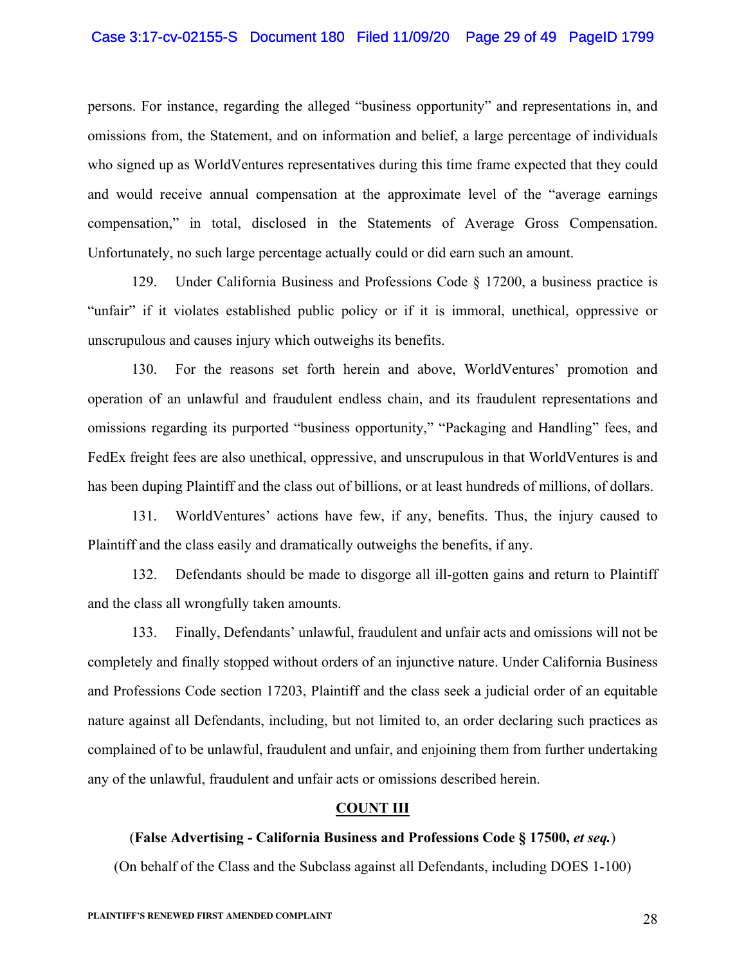## Case 3:17-cv-02155-S Document 180 Filed 11/09/20 Page 29 of 49 PageID 1799

persons. For instance, regarding the alleged "business opportunity" and representations in, and omissions from, the Statement, and on information and belief, a large percentage of individuals who signed up as WorldVentures representatives during this time frame expected that they could and would receive annual compensation at the approximate level of the "average earnings compensation," in total, disclosed in the Statements of Average Gross Compensation. Unfortunately, no such large percentage actually could or did earn such an amount.

129. Under California Business and Professions Code § 17200, a business practice is "unfair" if it violates established public policy or if it is immoral, unethical, oppressive or unscrupulous and causes injury which outweighs its benefits.

130. For the reasons set forth herein and above, WorldVentures' promotion and operation of an unlawful and fraudulent endless chain, and its fraudulent representations and omissions regarding its purported "business opportunity," "Packaging and Handling" fees, and FedEx freight fees are also unethical, oppressive, and unscrupulous in that WorldVentures is and has been duping Plaintiff and the class out of billions, or at least hundreds of millions, of dollars.

131. WorldVentures' actions have few, if any, benefits. Thus, the injury caused to Plaintiff and the class easily and dramatically outweighs the benefits, if any.

132. Defendants should be made to disgorge all ill-gotten gains and return to Plaintiff and the class all wrongfully taken amounts.

133. Finally, Defendants' unlawful, fraudulent and unfair acts and omissions will not be completely and finally stopped without orders of an injunctive nature. Under California Business and Professions Code section 17203, Plaintiff and the class seek a judicial order of an equitable nature against all Defendants, including, but not limited to, an order declaring such practices as complained of to be unlawful, fraudulent and unfair, and enjoining them from further undertaking any of the unlawful, fraudulent and unfair acts or omissions described herein.

# **COUNT III**

# (**False Advertising - California Business and Professions Code § 17500,** *et seq.*)

(On behalf of the Class and the Subclass against all Defendants, including DOES 1-100)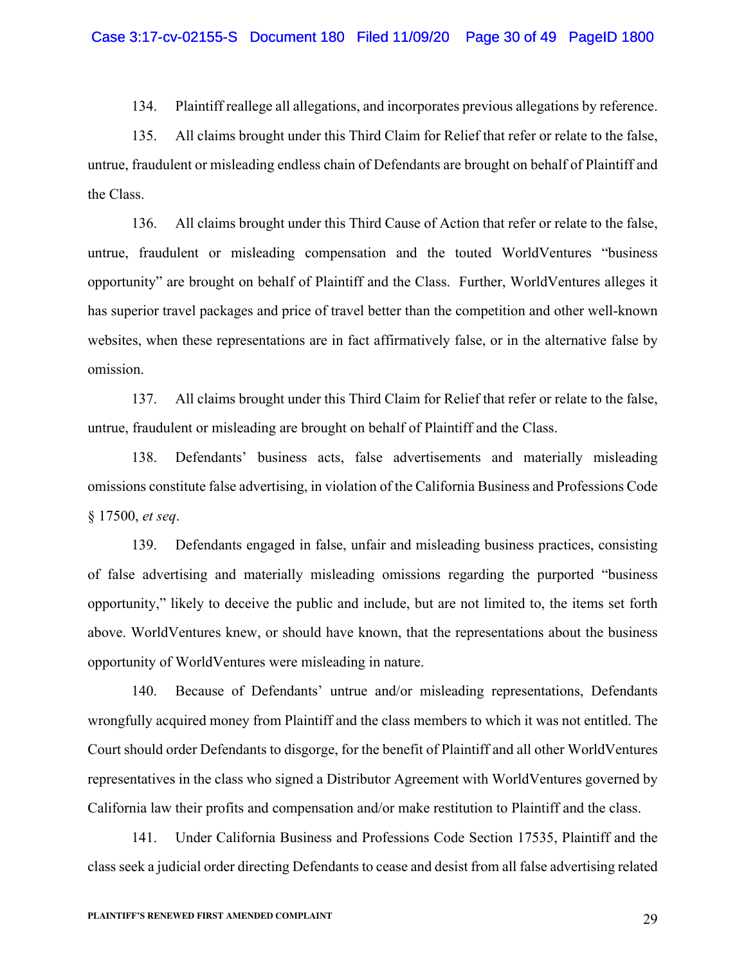134. Plaintiff reallege all allegations, and incorporates previous allegations by reference.

135. All claims brought under this Third Claim for Relief that refer or relate to the false, untrue, fraudulent or misleading endless chain of Defendants are brought on behalf of Plaintiff and the Class.

136. All claims brought under this Third Cause of Action that refer or relate to the false, untrue, fraudulent or misleading compensation and the touted WorldVentures "business opportunity" are brought on behalf of Plaintiff and the Class. Further, WorldVentures alleges it has superior travel packages and price of travel better than the competition and other well-known websites, when these representations are in fact affirmatively false, or in the alternative false by omission.

137. All claims brought under this Third Claim for Relief that refer or relate to the false, untrue, fraudulent or misleading are brought on behalf of Plaintiff and the Class.

138. Defendants' business acts, false advertisements and materially misleading omissions constitute false advertising, in violation of the California Business and Professions Code § 17500, *et seq*.

139. Defendants engaged in false, unfair and misleading business practices, consisting of false advertising and materially misleading omissions regarding the purported "business opportunity," likely to deceive the public and include, but are not limited to, the items set forth above. WorldVentures knew, or should have known, that the representations about the business opportunity of WorldVentures were misleading in nature.

140. Because of Defendants' untrue and/or misleading representations, Defendants wrongfully acquired money from Plaintiff and the class members to which it was not entitled. The Court should order Defendants to disgorge, for the benefit of Plaintiff and all other WorldVentures representatives in the class who signed a Distributor Agreement with WorldVentures governed by California law their profits and compensation and/or make restitution to Plaintiff and the class.

141. Under California Business and Professions Code Section 17535, Plaintiff and the class seek a judicial order directing Defendants to cease and desist from all false advertising related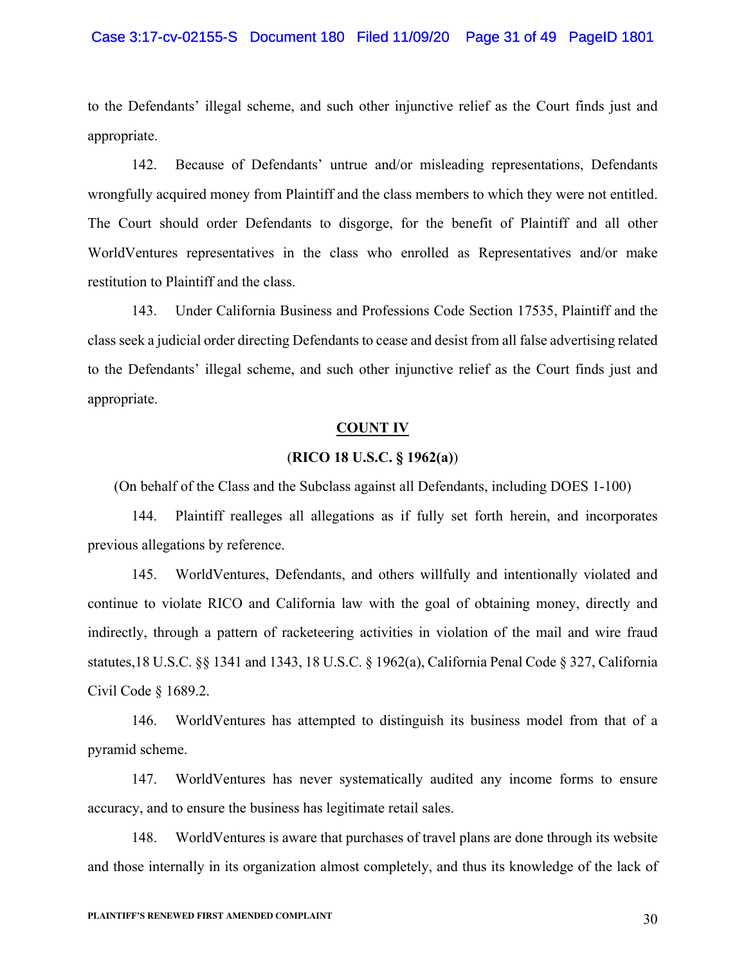#### Case 3:17-cv-02155-S Document 180 Filed 11/09/20 Page 31 of 49 PageID 1801

to the Defendants' illegal scheme, and such other injunctive relief as the Court finds just and appropriate.

142. Because of Defendants' untrue and/or misleading representations, Defendants wrongfully acquired money from Plaintiff and the class members to which they were not entitled. The Court should order Defendants to disgorge, for the benefit of Plaintiff and all other WorldVentures representatives in the class who enrolled as Representatives and/or make restitution to Plaintiff and the class.

143. Under California Business and Professions Code Section 17535, Plaintiff and the class seek a judicial order directing Defendants to cease and desist from all false advertising related to the Defendants' illegal scheme, and such other injunctive relief as the Court finds just and appropriate.

#### **COUNT IV**

## (**RICO 18 U.S.C. § 1962(a)**)

(On behalf of the Class and the Subclass against all Defendants, including DOES 1-100)

144. Plaintiff realleges all allegations as if fully set forth herein, and incorporates previous allegations by reference.

145. WorldVentures, Defendants, and others willfully and intentionally violated and continue to violate RICO and California law with the goal of obtaining money, directly and indirectly, through a pattern of racketeering activities in violation of the mail and wire fraud statutes,18 U.S.C. §§ 1341 and 1343, 18 U.S.C. § 1962(a), California Penal Code § 327, California Civil Code § 1689.2.

146. WorldVentures has attempted to distinguish its business model from that of a pyramid scheme.

147. WorldVentures has never systematically audited any income forms to ensure accuracy, and to ensure the business has legitimate retail sales.

148. WorldVentures is aware that purchases of travel plans are done through its website and those internally in its organization almost completely, and thus its knowledge of the lack of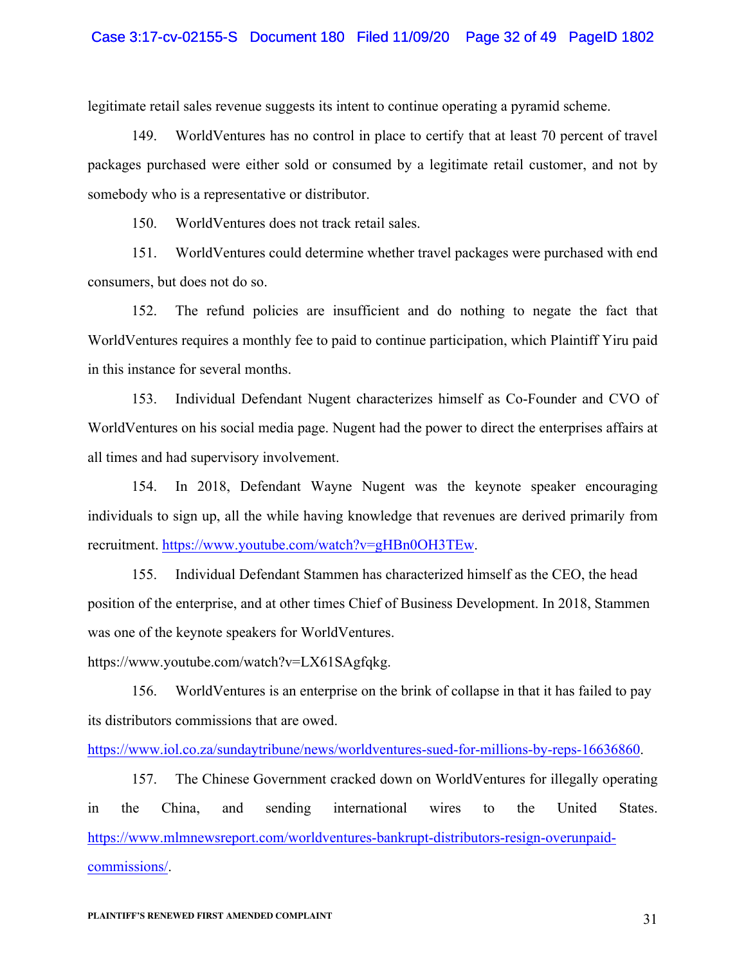# Case 3:17-cv-02155-S Document 180 Filed 11/09/20 Page 32 of 49 PageID 1802

legitimate retail sales revenue suggests its intent to continue operating a pyramid scheme.

149. WorldVentures has no control in place to certify that at least 70 percent of travel packages purchased were either sold or consumed by a legitimate retail customer, and not by somebody who is a representative or distributor.

150. WorldVentures does not track retail sales.

151. WorldVentures could determine whether travel packages were purchased with end consumers, but does not do so.

152. The refund policies are insufficient and do nothing to negate the fact that WorldVentures requires a monthly fee to paid to continue participation, which Plaintiff Yiru paid in this instance for several months.

153. Individual Defendant Nugent characterizes himself as Co-Founder and CVO of WorldVentures on his social media page. Nugent had the power to direct the enterprises affairs at all times and had supervisory involvement.

154. In 2018, Defendant Wayne Nugent was the keynote speaker encouraging individuals to sign up, all the while having knowledge that revenues are derived primarily from recruitment. https://www.youtube.com/watch?v=gHBn0OH3TEw.

155. Individual Defendant Stammen has characterized himself as the CEO, the head position of the enterprise, and at other times Chief of Business Development. In 2018, Stammen was one of the keynote speakers for WorldVentures.

https://www.youtube.com/watch?v=LX61SAgfqkg.

156. WorldVentures is an enterprise on the brink of collapse in that it has failed to pay its distributors commissions that are owed.

https://www.iol.co.za/sundaytribune/news/worldventures-sued-for-millions-by-reps-16636860.

157. The Chinese Government cracked down on WorldVentures for illegally operating in the China, and sending international wires to the United States. https://www.mlmnewsreport.com/worldventures-bankrupt-distributors-resign-overunpaidcommissions/.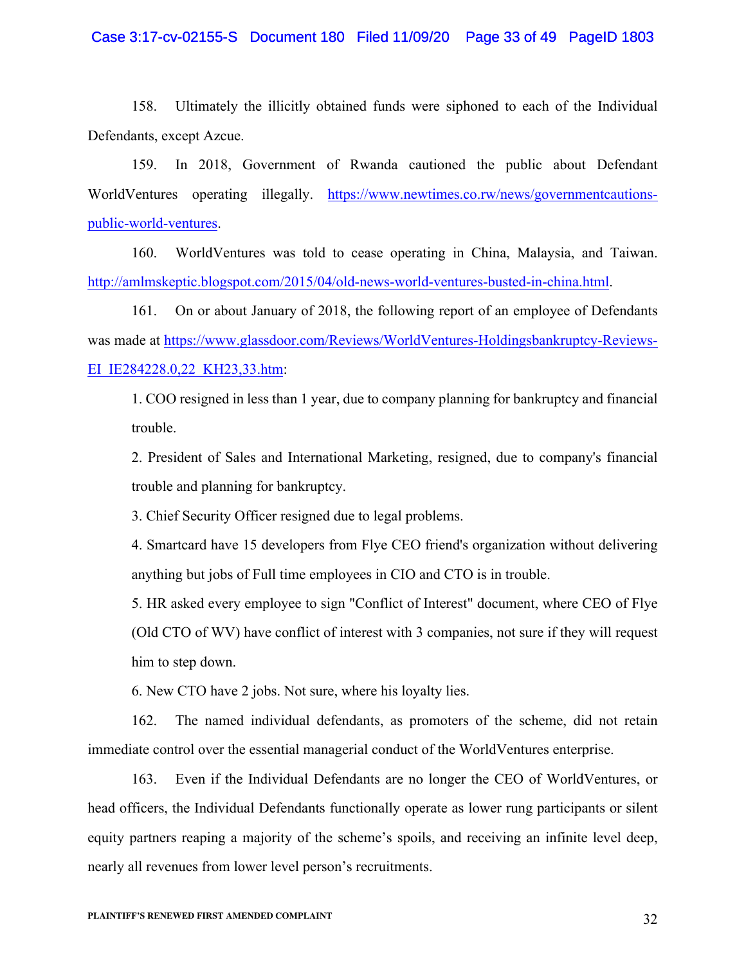#### Case 3:17-cv-02155-S Document 180 Filed 11/09/20 Page 33 of 49 PageID 1803

158. Ultimately the illicitly obtained funds were siphoned to each of the Individual Defendants, except Azcue.

159. In 2018, Government of Rwanda cautioned the public about Defendant WorldVentures operating illegally. https://www.newtimes.co.rw/news/governmentcautionspublic-world-ventures.

160. WorldVentures was told to cease operating in China, Malaysia, and Taiwan. http://amlmskeptic.blogspot.com/2015/04/old-news-world-ventures-busted-in-china.html.

161. On or about January of 2018, the following report of an employee of Defendants was made at https://www.glassdoor.com/Reviews/WorldVentures-Holdingsbankruptcy-Reviews-EI\_IE284228.0,22\_KH23,33.htm:

1. COO resigned in less than 1 year, due to company planning for bankruptcy and financial trouble.

2. President of Sales and International Marketing, resigned, due to company's financial trouble and planning for bankruptcy.

3. Chief Security Officer resigned due to legal problems.

4. Smartcard have 15 developers from Flye CEO friend's organization without delivering anything but jobs of Full time employees in CIO and CTO is in trouble.

5. HR asked every employee to sign "Conflict of Interest" document, where CEO of Flye (Old CTO of WV) have conflict of interest with 3 companies, not sure if they will request him to step down.

6. New CTO have 2 jobs. Not sure, where his loyalty lies.

162. The named individual defendants, as promoters of the scheme, did not retain immediate control over the essential managerial conduct of the WorldVentures enterprise.

163. Even if the Individual Defendants are no longer the CEO of WorldVentures, or head officers, the Individual Defendants functionally operate as lower rung participants or silent equity partners reaping a majority of the scheme's spoils, and receiving an infinite level deep, nearly all revenues from lower level person's recruitments.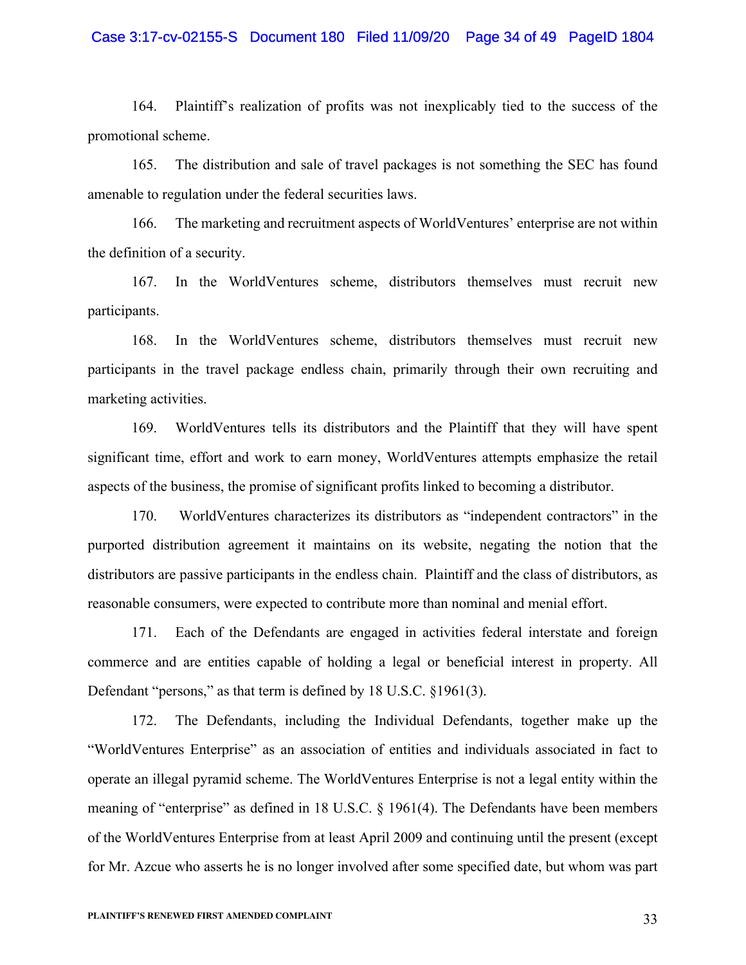# Case 3:17-cv-02155-S Document 180 Filed 11/09/20 Page 34 of 49 PageID 1804

164. Plaintiff's realization of profits was not inexplicably tied to the success of the promotional scheme.

165. The distribution and sale of travel packages is not something the SEC has found amenable to regulation under the federal securities laws.

166. The marketing and recruitment aspects of WorldVentures' enterprise are not within the definition of a security.

167. In the WorldVentures scheme, distributors themselves must recruit new participants.

168. In the WorldVentures scheme, distributors themselves must recruit new participants in the travel package endless chain, primarily through their own recruiting and marketing activities.

169. WorldVentures tells its distributors and the Plaintiff that they will have spent significant time, effort and work to earn money, WorldVentures attempts emphasize the retail aspects of the business, the promise of significant profits linked to becoming a distributor.

170. WorldVentures characterizes its distributors as "independent contractors" in the purported distribution agreement it maintains on its website, negating the notion that the distributors are passive participants in the endless chain. Plaintiff and the class of distributors, as reasonable consumers, were expected to contribute more than nominal and menial effort.

171. Each of the Defendants are engaged in activities federal interstate and foreign commerce and are entities capable of holding a legal or beneficial interest in property. All Defendant "persons," as that term is defined by 18 U.S.C. §1961(3).

172. The Defendants, including the Individual Defendants, together make up the "WorldVentures Enterprise" as an association of entities and individuals associated in fact to operate an illegal pyramid scheme. The WorldVentures Enterprise is not a legal entity within the meaning of "enterprise" as defined in 18 U.S.C. § 1961(4). The Defendants have been members of the WorldVentures Enterprise from at least April 2009 and continuing until the present (except for Mr. Azcue who asserts he is no longer involved after some specified date, but whom was part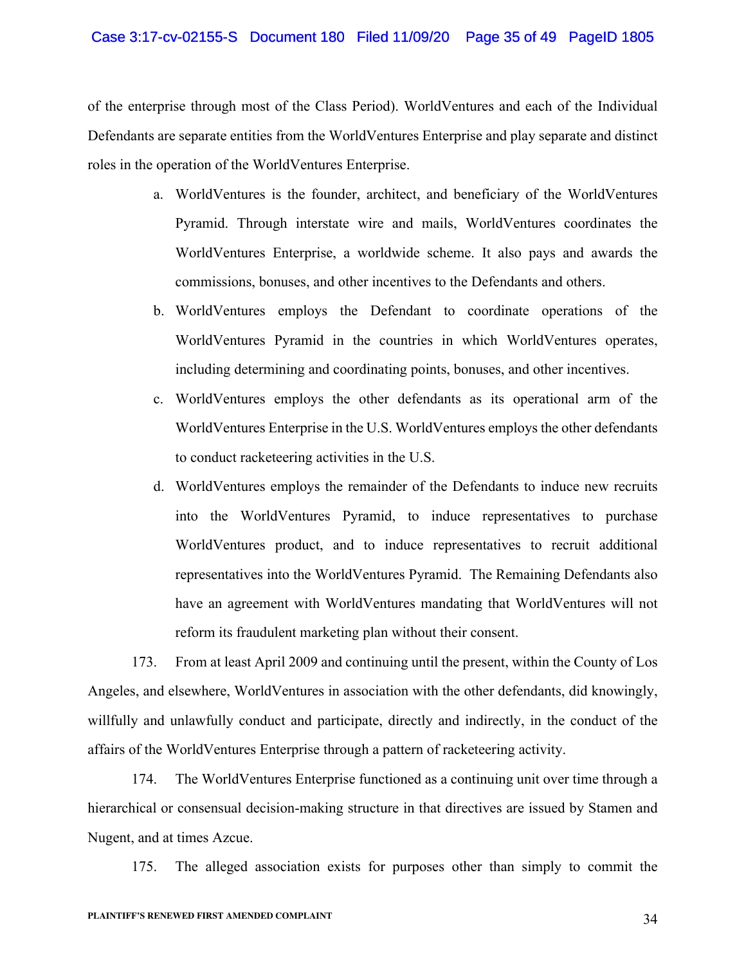#### Case 3:17-cv-02155-S Document 180 Filed 11/09/20 Page 35 of 49 PageID 1805

of the enterprise through most of the Class Period). WorldVentures and each of the Individual Defendants are separate entities from the WorldVentures Enterprise and play separate and distinct roles in the operation of the WorldVentures Enterprise.

- a. WorldVentures is the founder, architect, and beneficiary of the WorldVentures Pyramid. Through interstate wire and mails, WorldVentures coordinates the WorldVentures Enterprise, a worldwide scheme. It also pays and awards the commissions, bonuses, and other incentives to the Defendants and others.
- b. WorldVentures employs the Defendant to coordinate operations of the WorldVentures Pyramid in the countries in which WorldVentures operates, including determining and coordinating points, bonuses, and other incentives.
- c. WorldVentures employs the other defendants as its operational arm of the WorldVentures Enterprise in the U.S. WorldVentures employs the other defendants to conduct racketeering activities in the U.S.
- d. WorldVentures employs the remainder of the Defendants to induce new recruits into the WorldVentures Pyramid, to induce representatives to purchase WorldVentures product, and to induce representatives to recruit additional representatives into the WorldVentures Pyramid. The Remaining Defendants also have an agreement with WorldVentures mandating that WorldVentures will not reform its fraudulent marketing plan without their consent.

173. From at least April 2009 and continuing until the present, within the County of Los Angeles, and elsewhere, WorldVentures in association with the other defendants, did knowingly, willfully and unlawfully conduct and participate, directly and indirectly, in the conduct of the affairs of the WorldVentures Enterprise through a pattern of racketeering activity.

174. The WorldVentures Enterprise functioned as a continuing unit over time through a hierarchical or consensual decision-making structure in that directives are issued by Stamen and Nugent, and at times Azcue.

175. The alleged association exists for purposes other than simply to commit the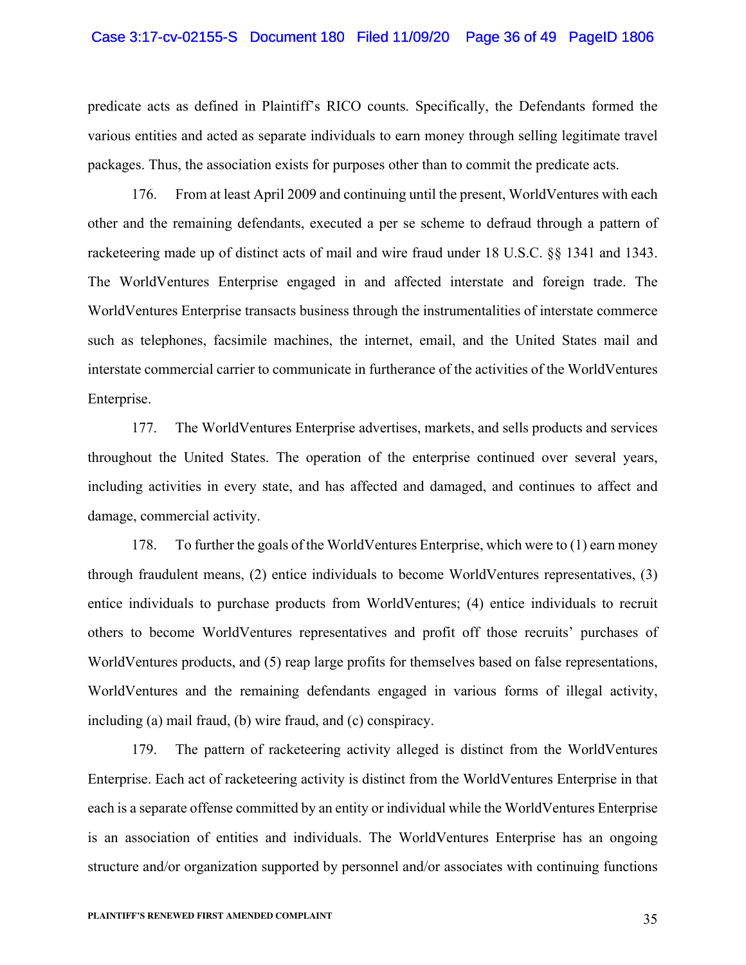#### Case 3:17-cv-02155-S Document 180 Filed 11/09/20 Page 36 of 49 PageID 1806

predicate acts as defined in Plaintiff's RICO counts. Specifically, the Defendants formed the various entities and acted as separate individuals to earn money through selling legitimate travel packages. Thus, the association exists for purposes other than to commit the predicate acts.

176. From at least April 2009 and continuing until the present, WorldVentures with each other and the remaining defendants, executed a per se scheme to defraud through a pattern of racketeering made up of distinct acts of mail and wire fraud under 18 U.S.C. §§ 1341 and 1343. The WorldVentures Enterprise engaged in and affected interstate and foreign trade. The WorldVentures Enterprise transacts business through the instrumentalities of interstate commerce such as telephones, facsimile machines, the internet, email, and the United States mail and interstate commercial carrier to communicate in furtherance of the activities of the WorldVentures Enterprise.

177. The WorldVentures Enterprise advertises, markets, and sells products and services throughout the United States. The operation of the enterprise continued over several years, including activities in every state, and has affected and damaged, and continues to affect and damage, commercial activity.

178. To further the goals of the WorldVentures Enterprise, which were to (1) earn money through fraudulent means, (2) entice individuals to become WorldVentures representatives, (3) entice individuals to purchase products from WorldVentures; (4) entice individuals to recruit others to become WorldVentures representatives and profit off those recruits' purchases of WorldVentures products, and (5) reap large profits for themselves based on false representations, WorldVentures and the remaining defendants engaged in various forms of illegal activity, including (a) mail fraud, (b) wire fraud, and (c) conspiracy.

179. The pattern of racketeering activity alleged is distinct from the WorldVentures Enterprise. Each act of racketeering activity is distinct from the WorldVentures Enterprise in that each is a separate offense committed by an entity or individual while the WorldVentures Enterprise is an association of entities and individuals. The WorldVentures Enterprise has an ongoing structure and/or organization supported by personnel and/or associates with continuing functions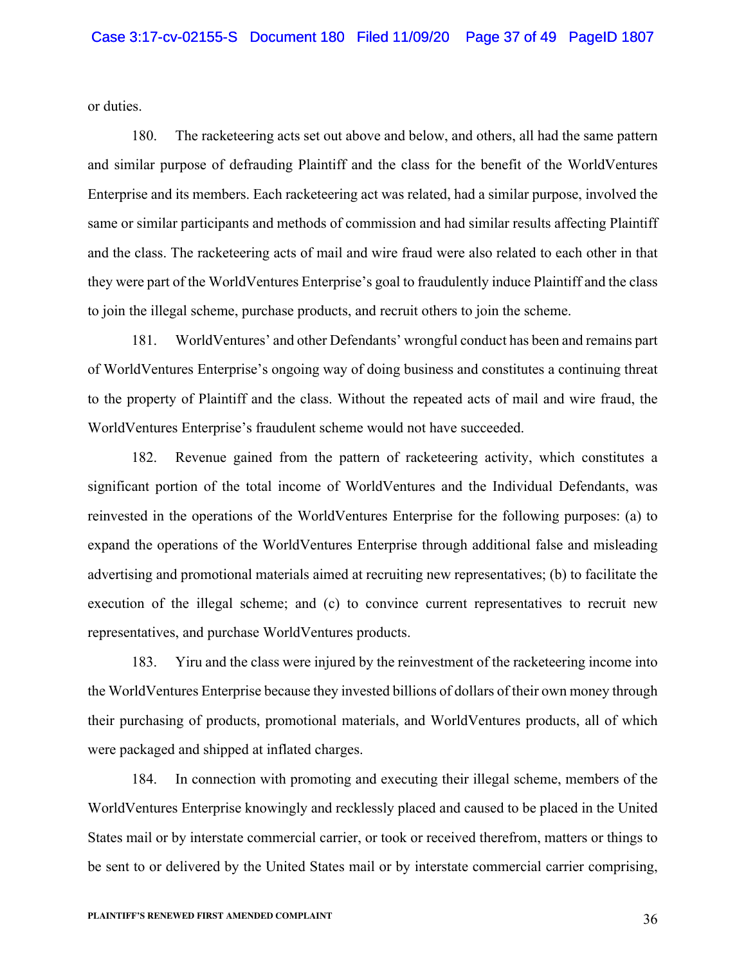or duties.

180. The racketeering acts set out above and below, and others, all had the same pattern and similar purpose of defrauding Plaintiff and the class for the benefit of the WorldVentures Enterprise and its members. Each racketeering act was related, had a similar purpose, involved the same or similar participants and methods of commission and had similar results affecting Plaintiff and the class. The racketeering acts of mail and wire fraud were also related to each other in that they were part of the WorldVentures Enterprise's goal to fraudulently induce Plaintiff and the class to join the illegal scheme, purchase products, and recruit others to join the scheme.

181. WorldVentures' and other Defendants' wrongful conduct has been and remains part of WorldVentures Enterprise's ongoing way of doing business and constitutes a continuing threat to the property of Plaintiff and the class. Without the repeated acts of mail and wire fraud, the WorldVentures Enterprise's fraudulent scheme would not have succeeded.

182. Revenue gained from the pattern of racketeering activity, which constitutes a significant portion of the total income of WorldVentures and the Individual Defendants, was reinvested in the operations of the WorldVentures Enterprise for the following purposes: (a) to expand the operations of the WorldVentures Enterprise through additional false and misleading advertising and promotional materials aimed at recruiting new representatives; (b) to facilitate the execution of the illegal scheme; and (c) to convince current representatives to recruit new representatives, and purchase WorldVentures products.

183. Yiru and the class were injured by the reinvestment of the racketeering income into the WorldVentures Enterprise because they invested billions of dollars of their own money through their purchasing of products, promotional materials, and WorldVentures products, all of which were packaged and shipped at inflated charges.

184. In connection with promoting and executing their illegal scheme, members of the WorldVentures Enterprise knowingly and recklessly placed and caused to be placed in the United States mail or by interstate commercial carrier, or took or received therefrom, matters or things to be sent to or delivered by the United States mail or by interstate commercial carrier comprising,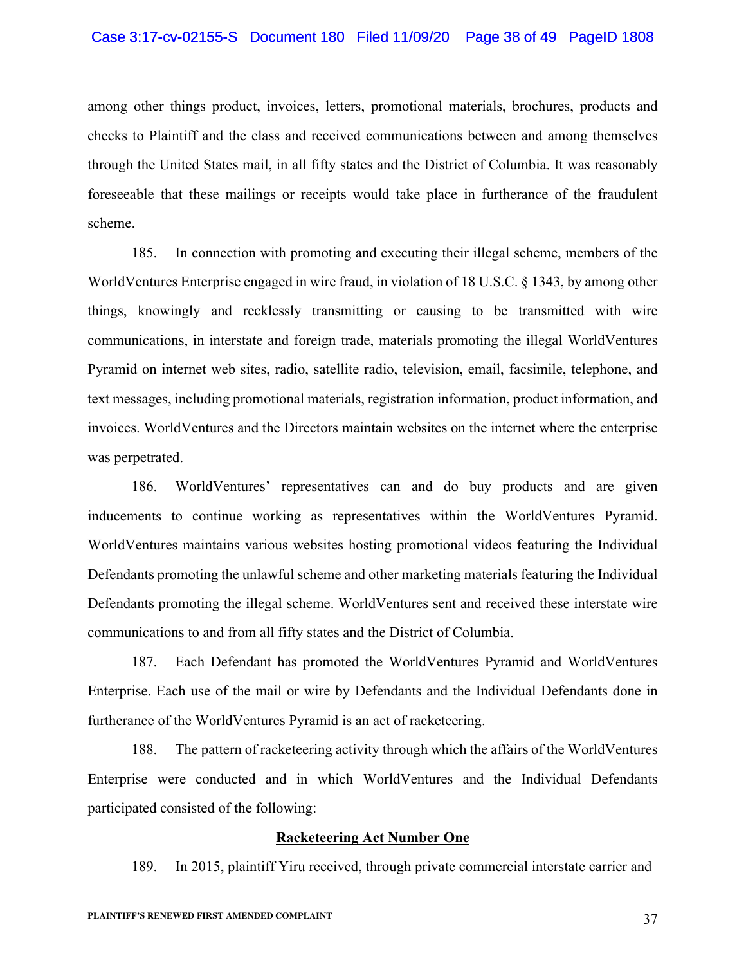#### Case 3:17-cv-02155-S Document 180 Filed 11/09/20 Page 38 of 49 PageID 1808

among other things product, invoices, letters, promotional materials, brochures, products and checks to Plaintiff and the class and received communications between and among themselves through the United States mail, in all fifty states and the District of Columbia. It was reasonably foreseeable that these mailings or receipts would take place in furtherance of the fraudulent scheme.

185. In connection with promoting and executing their illegal scheme, members of the WorldVentures Enterprise engaged in wire fraud, in violation of 18 U.S.C. § 1343, by among other things, knowingly and recklessly transmitting or causing to be transmitted with wire communications, in interstate and foreign trade, materials promoting the illegal WorldVentures Pyramid on internet web sites, radio, satellite radio, television, email, facsimile, telephone, and text messages, including promotional materials, registration information, product information, and invoices. WorldVentures and the Directors maintain websites on the internet where the enterprise was perpetrated.

186. WorldVentures' representatives can and do buy products and are given inducements to continue working as representatives within the WorldVentures Pyramid. WorldVentures maintains various websites hosting promotional videos featuring the Individual Defendants promoting the unlawful scheme and other marketing materials featuring the Individual Defendants promoting the illegal scheme. WorldVentures sent and received these interstate wire communications to and from all fifty states and the District of Columbia.

187. Each Defendant has promoted the WorldVentures Pyramid and WorldVentures Enterprise. Each use of the mail or wire by Defendants and the Individual Defendants done in furtherance of the WorldVentures Pyramid is an act of racketeering.

188. The pattern of racketeering activity through which the affairs of the WorldVentures Enterprise were conducted and in which WorldVentures and the Individual Defendants participated consisted of the following:

# **Racketeering Act Number One**

189. In 2015, plaintiff Yiru received, through private commercial interstate carrier and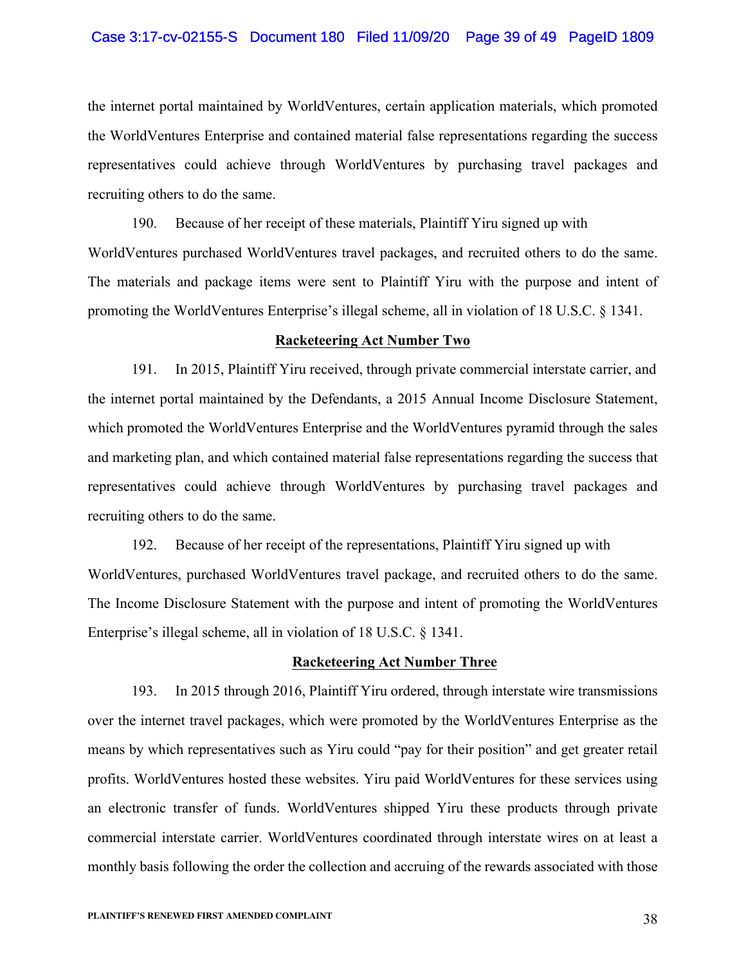#### Case 3:17-cv-02155-S Document 180 Filed 11/09/20 Page 39 of 49 PageID 1809

the internet portal maintained by WorldVentures, certain application materials, which promoted the WorldVentures Enterprise and contained material false representations regarding the success representatives could achieve through WorldVentures by purchasing travel packages and recruiting others to do the same.

190. Because of her receipt of these materials, Plaintiff Yiru signed up with WorldVentures purchased WorldVentures travel packages, and recruited others to do the same. The materials and package items were sent to Plaintiff Yiru with the purpose and intent of promoting the WorldVentures Enterprise's illegal scheme, all in violation of 18 U.S.C. § 1341.

#### **Racketeering Act Number Two**

191. In 2015, Plaintiff Yiru received, through private commercial interstate carrier, and the internet portal maintained by the Defendants, a 2015 Annual Income Disclosure Statement, which promoted the WorldVentures Enterprise and the WorldVentures pyramid through the sales and marketing plan, and which contained material false representations regarding the success that representatives could achieve through WorldVentures by purchasing travel packages and recruiting others to do the same.

192. Because of her receipt of the representations, Plaintiff Yiru signed up with WorldVentures, purchased WorldVentures travel package, and recruited others to do the same. The Income Disclosure Statement with the purpose and intent of promoting the WorldVentures Enterprise's illegal scheme, all in violation of 18 U.S.C. § 1341.

#### **Racketeering Act Number Three**

193. In 2015 through 2016, Plaintiff Yiru ordered, through interstate wire transmissions over the internet travel packages, which were promoted by the WorldVentures Enterprise as the means by which representatives such as Yiru could "pay for their position" and get greater retail profits. WorldVentures hosted these websites. Yiru paid WorldVentures for these services using an electronic transfer of funds. WorldVentures shipped Yiru these products through private commercial interstate carrier. WorldVentures coordinated through interstate wires on at least a monthly basis following the order the collection and accruing of the rewards associated with those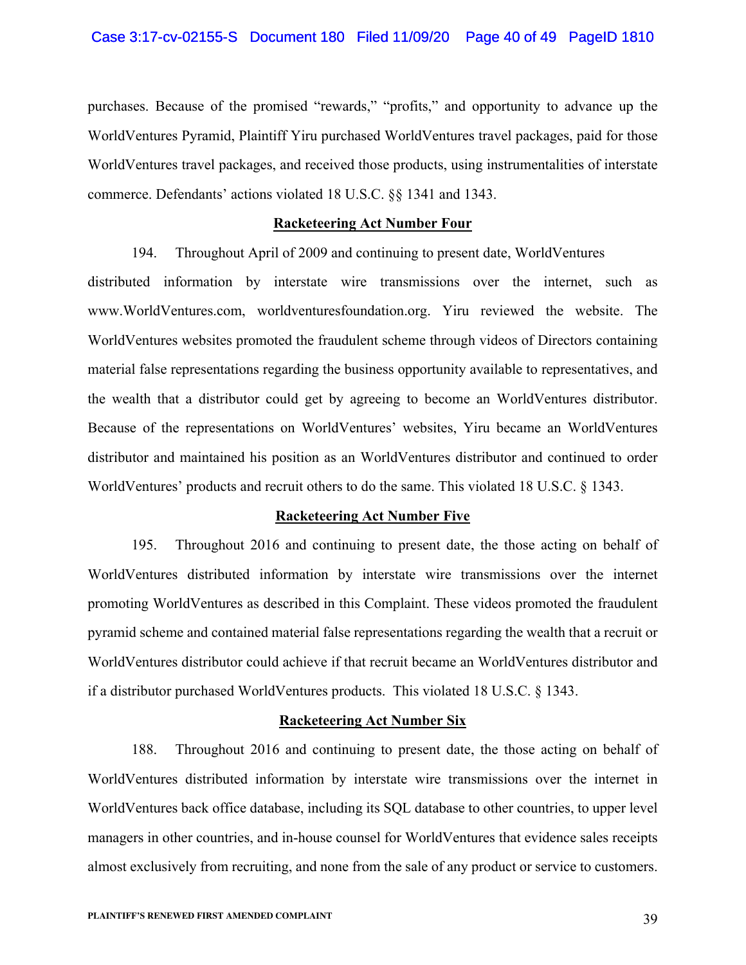purchases. Because of the promised "rewards," "profits," and opportunity to advance up the WorldVentures Pyramid, Plaintiff Yiru purchased WorldVentures travel packages, paid for those WorldVentures travel packages, and received those products, using instrumentalities of interstate commerce. Defendants' actions violated 18 U.S.C. §§ 1341 and 1343.

# **Racketeering Act Number Four**

194. Throughout April of 2009 and continuing to present date, WorldVentures distributed information by interstate wire transmissions over the internet, such as www.WorldVentures.com, worldventuresfoundation.org. Yiru reviewed the website. The WorldVentures websites promoted the fraudulent scheme through videos of Directors containing material false representations regarding the business opportunity available to representatives, and the wealth that a distributor could get by agreeing to become an WorldVentures distributor. Because of the representations on WorldVentures' websites, Yiru became an WorldVentures distributor and maintained his position as an WorldVentures distributor and continued to order WorldVentures' products and recruit others to do the same. This violated 18 U.S.C. § 1343.

#### **Racketeering Act Number Five**

195. Throughout 2016 and continuing to present date, the those acting on behalf of WorldVentures distributed information by interstate wire transmissions over the internet promoting WorldVentures as described in this Complaint. These videos promoted the fraudulent pyramid scheme and contained material false representations regarding the wealth that a recruit or WorldVentures distributor could achieve if that recruit became an WorldVentures distributor and if a distributor purchased WorldVentures products. This violated 18 U.S.C. § 1343.

#### **Racketeering Act Number Six**

188. Throughout 2016 and continuing to present date, the those acting on behalf of WorldVentures distributed information by interstate wire transmissions over the internet in WorldVentures back office database, including its SQL database to other countries, to upper level managers in other countries, and in-house counsel for WorldVentures that evidence sales receipts almost exclusively from recruiting, and none from the sale of any product or service to customers.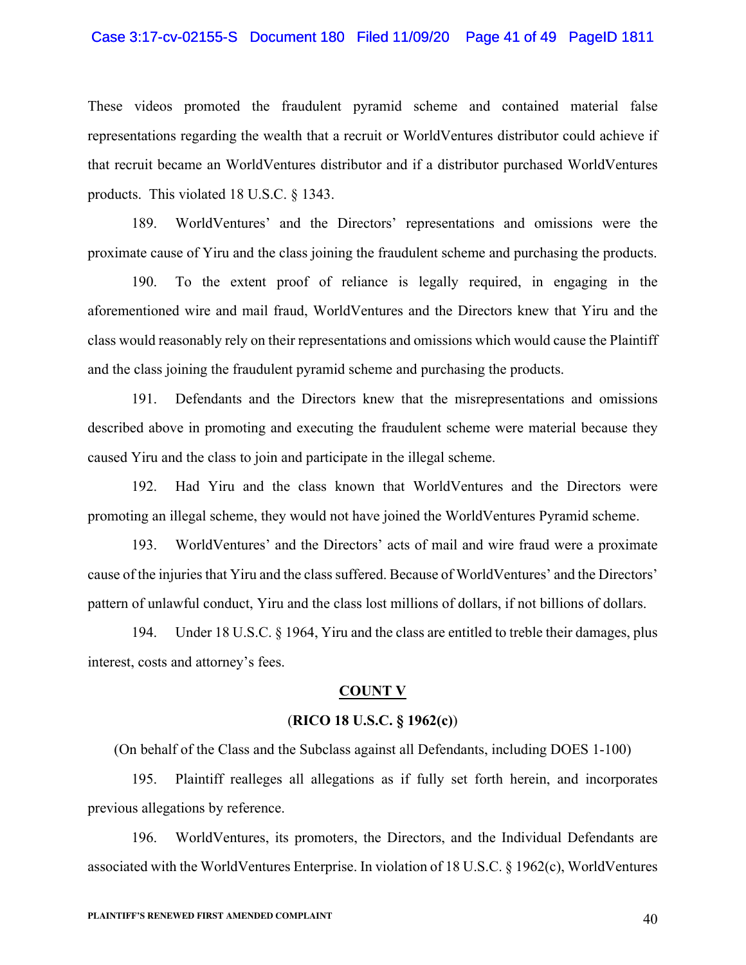#### Case 3:17-cv-02155-S Document 180 Filed 11/09/20 Page 41 of 49 PageID 1811

These videos promoted the fraudulent pyramid scheme and contained material false representations regarding the wealth that a recruit or WorldVentures distributor could achieve if that recruit became an WorldVentures distributor and if a distributor purchased WorldVentures products. This violated 18 U.S.C. § 1343.

189. WorldVentures' and the Directors' representations and omissions were the proximate cause of Yiru and the class joining the fraudulent scheme and purchasing the products.

190. To the extent proof of reliance is legally required, in engaging in the aforementioned wire and mail fraud, WorldVentures and the Directors knew that Yiru and the class would reasonably rely on their representations and omissions which would cause the Plaintiff and the class joining the fraudulent pyramid scheme and purchasing the products.

191. Defendants and the Directors knew that the misrepresentations and omissions described above in promoting and executing the fraudulent scheme were material because they caused Yiru and the class to join and participate in the illegal scheme.

192. Had Yiru and the class known that WorldVentures and the Directors were promoting an illegal scheme, they would not have joined the WorldVentures Pyramid scheme.

193. WorldVentures' and the Directors' acts of mail and wire fraud were a proximate cause of the injuries that Yiru and the class suffered. Because of WorldVentures' and the Directors' pattern of unlawful conduct, Yiru and the class lost millions of dollars, if not billions of dollars.

194. Under 18 U.S.C. § 1964, Yiru and the class are entitled to treble their damages, plus interest, costs and attorney's fees.

#### **COUNT V**

#### (**RICO 18 U.S.C. § 1962(c)**)

(On behalf of the Class and the Subclass against all Defendants, including DOES 1-100)

195. Plaintiff realleges all allegations as if fully set forth herein, and incorporates previous allegations by reference.

196. WorldVentures, its promoters, the Directors, and the Individual Defendants are associated with the WorldVentures Enterprise. In violation of 18 U.S.C. § 1962(c), WorldVentures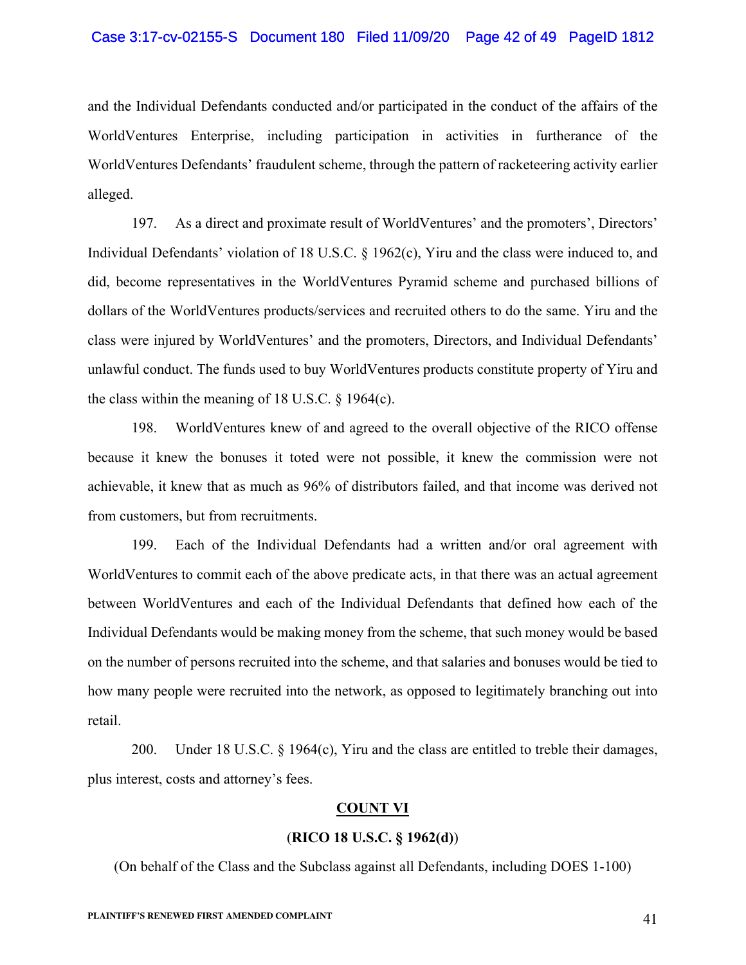and the Individual Defendants conducted and/or participated in the conduct of the affairs of the WorldVentures Enterprise, including participation in activities in furtherance of the WorldVentures Defendants' fraudulent scheme, through the pattern of racketeering activity earlier alleged.

197. As a direct and proximate result of WorldVentures' and the promoters', Directors' Individual Defendants' violation of 18 U.S.C. § 1962(c), Yiru and the class were induced to, and did, become representatives in the WorldVentures Pyramid scheme and purchased billions of dollars of the WorldVentures products/services and recruited others to do the same. Yiru and the class were injured by WorldVentures' and the promoters, Directors, and Individual Defendants' unlawful conduct. The funds used to buy WorldVentures products constitute property of Yiru and the class within the meaning of 18 U.S.C. § 1964(c).

198. WorldVentures knew of and agreed to the overall objective of the RICO offense because it knew the bonuses it toted were not possible, it knew the commission were not achievable, it knew that as much as 96% of distributors failed, and that income was derived not from customers, but from recruitments.

199. Each of the Individual Defendants had a written and/or oral agreement with WorldVentures to commit each of the above predicate acts, in that there was an actual agreement between WorldVentures and each of the Individual Defendants that defined how each of the Individual Defendants would be making money from the scheme, that such money would be based on the number of persons recruited into the scheme, and that salaries and bonuses would be tied to how many people were recruited into the network, as opposed to legitimately branching out into retail.

200. Under 18 U.S.C. § 1964(c), Yiru and the class are entitled to treble their damages, plus interest, costs and attorney's fees.

# **COUNT VI**

# (**RICO 18 U.S.C. § 1962(d)**)

(On behalf of the Class and the Subclass against all Defendants, including DOES 1-100)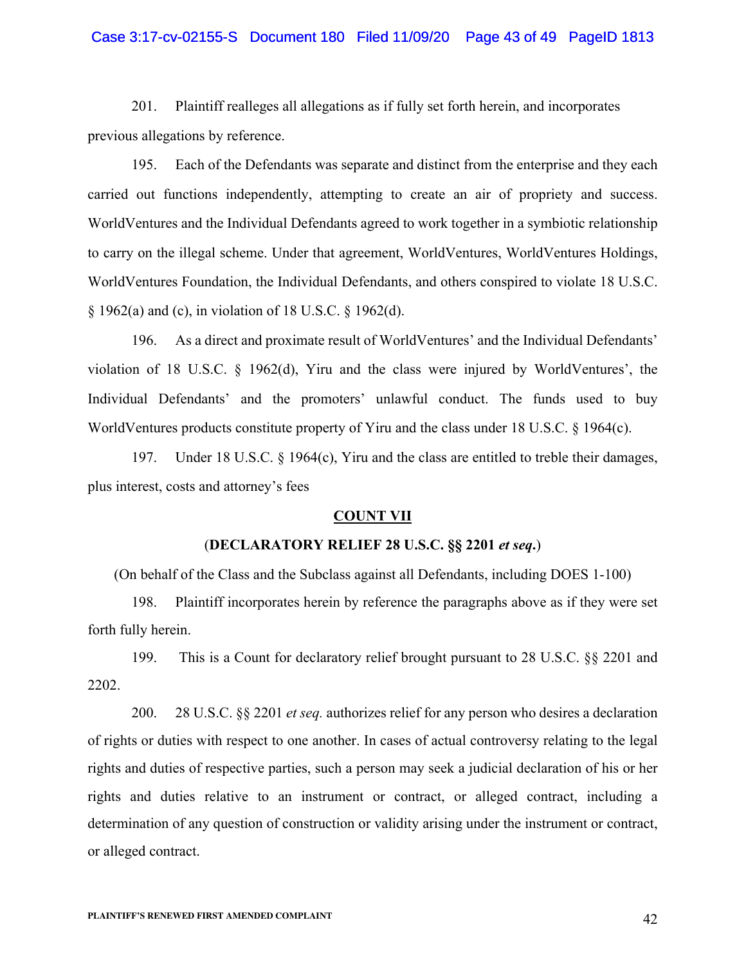#### Case 3:17-cv-02155-S Document 180 Filed 11/09/20 Page 43 of 49 PageID 1813

201. Plaintiff realleges all allegations as if fully set forth herein, and incorporates previous allegations by reference.

195. Each of the Defendants was separate and distinct from the enterprise and they each carried out functions independently, attempting to create an air of propriety and success. WorldVentures and the Individual Defendants agreed to work together in a symbiotic relationship to carry on the illegal scheme. Under that agreement, WorldVentures, WorldVentures Holdings, WorldVentures Foundation, the Individual Defendants, and others conspired to violate 18 U.S.C. § 1962(a) and (c), in violation of 18 U.S.C. § 1962(d).

196. As a direct and proximate result of WorldVentures' and the Individual Defendants' violation of 18 U.S.C. § 1962(d), Yiru and the class were injured by WorldVentures', the Individual Defendants' and the promoters' unlawful conduct. The funds used to buy WorldVentures products constitute property of Yiru and the class under 18 U.S.C. § 1964(c).

197. Under 18 U.S.C. § 1964(c), Yiru and the class are entitled to treble their damages, plus interest, costs and attorney's fees

# **COUNT VII**

#### (**DECLARATORY RELIEF 28 U.S.C. §§ 2201** *et seq***.**)

(On behalf of the Class and the Subclass against all Defendants, including DOES 1-100)

198. Plaintiff incorporates herein by reference the paragraphs above as if they were set forth fully herein.

199. This is a Count for declaratory relief brought pursuant to 28 U.S.C. §§ 2201 and 2202.

200. 28 U.S.C. §§ 2201 *et seq.* authorizes relief for any person who desires a declaration of rights or duties with respect to one another. In cases of actual controversy relating to the legal rights and duties of respective parties, such a person may seek a judicial declaration of his or her rights and duties relative to an instrument or contract, or alleged contract, including a determination of any question of construction or validity arising under the instrument or contract, or alleged contract.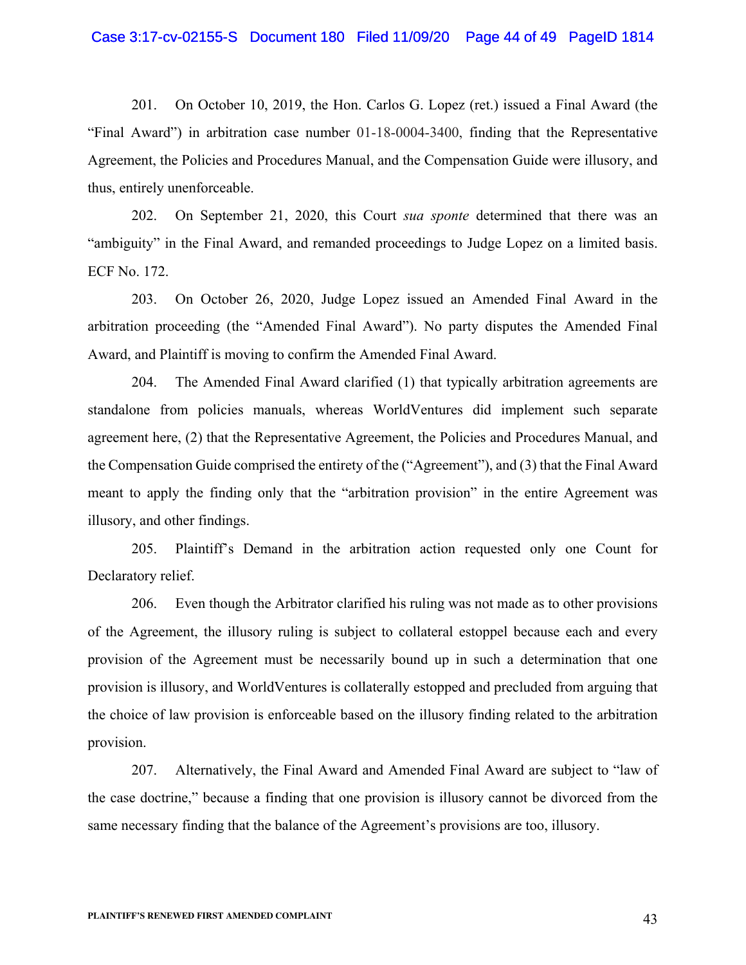# Case 3:17-cv-02155-S Document 180 Filed 11/09/20 Page 44 of 49 PageID 1814

201. On October 10, 2019, the Hon. Carlos G. Lopez (ret.) issued a Final Award (the "Final Award") in arbitration case number 01-18-0004-3400, finding that the Representative Agreement, the Policies and Procedures Manual, and the Compensation Guide were illusory, and thus, entirely unenforceable.

202. On September 21, 2020, this Court *sua sponte* determined that there was an "ambiguity" in the Final Award, and remanded proceedings to Judge Lopez on a limited basis. ECF No. 172.

203. On October 26, 2020, Judge Lopez issued an Amended Final Award in the arbitration proceeding (the "Amended Final Award"). No party disputes the Amended Final Award, and Plaintiff is moving to confirm the Amended Final Award.

204. The Amended Final Award clarified (1) that typically arbitration agreements are standalone from policies manuals, whereas WorldVentures did implement such separate agreement here, (2) that the Representative Agreement, the Policies and Procedures Manual, and the Compensation Guide comprised the entirety of the ("Agreement"), and (3) that the Final Award meant to apply the finding only that the "arbitration provision" in the entire Agreement was illusory, and other findings.

205. Plaintiff's Demand in the arbitration action requested only one Count for Declaratory relief.

206. Even though the Arbitrator clarified his ruling was not made as to other provisions of the Agreement, the illusory ruling is subject to collateral estoppel because each and every provision of the Agreement must be necessarily bound up in such a determination that one provision is illusory, and WorldVentures is collaterally estopped and precluded from arguing that the choice of law provision is enforceable based on the illusory finding related to the arbitration provision.

207. Alternatively, the Final Award and Amended Final Award are subject to "law of the case doctrine," because a finding that one provision is illusory cannot be divorced from the same necessary finding that the balance of the Agreement's provisions are too, illusory.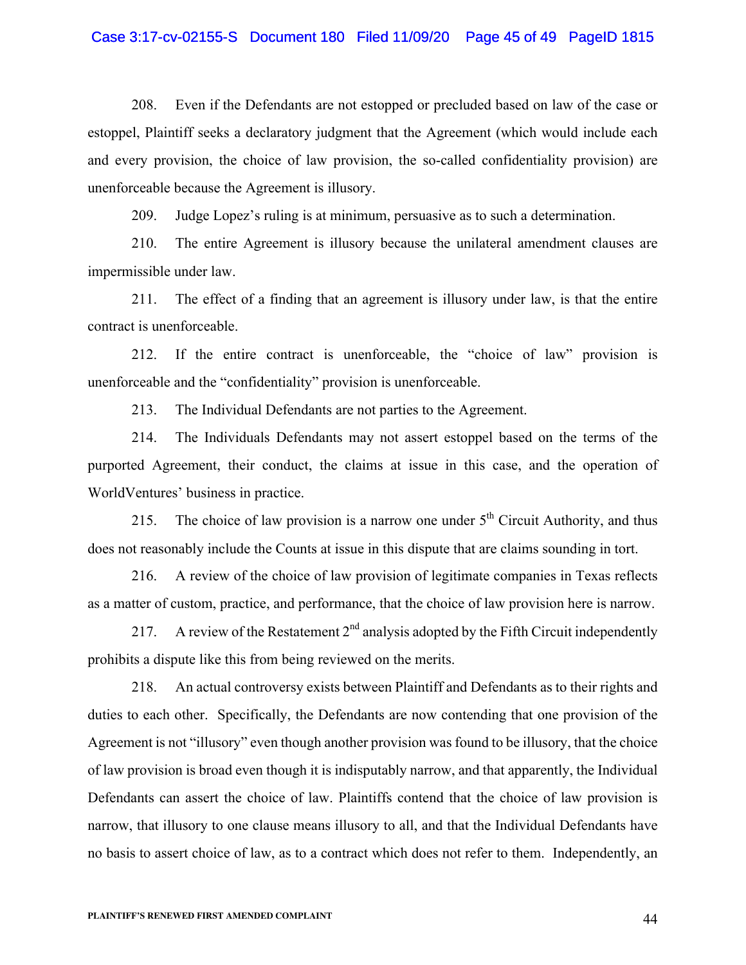# Case 3:17-cv-02155-S Document 180 Filed 11/09/20 Page 45 of 49 PageID 1815

208. Even if the Defendants are not estopped or precluded based on law of the case or estoppel, Plaintiff seeks a declaratory judgment that the Agreement (which would include each and every provision, the choice of law provision, the so-called confidentiality provision) are unenforceable because the Agreement is illusory.

209. Judge Lopez's ruling is at minimum, persuasive as to such a determination.

210. The entire Agreement is illusory because the unilateral amendment clauses are impermissible under law.

211. The effect of a finding that an agreement is illusory under law, is that the entire contract is unenforceable.

212. If the entire contract is unenforceable, the "choice of law" provision is unenforceable and the "confidentiality" provision is unenforceable.

213. The Individual Defendants are not parties to the Agreement.

214. The Individuals Defendants may not assert estoppel based on the terms of the purported Agreement, their conduct, the claims at issue in this case, and the operation of WorldVentures' business in practice.

215. The choice of law provision is a narrow one under  $5<sup>th</sup>$  Circuit Authority, and thus does not reasonably include the Counts at issue in this dispute that are claims sounding in tort.

216. A review of the choice of law provision of legitimate companies in Texas reflects as a matter of custom, practice, and performance, that the choice of law provision here is narrow.

217. A review of the Restatement  $2^{nd}$  analysis adopted by the Fifth Circuit independently prohibits a dispute like this from being reviewed on the merits.

218. An actual controversy exists between Plaintiff and Defendants as to their rights and duties to each other. Specifically, the Defendants are now contending that one provision of the Agreement is not "illusory" even though another provision was found to be illusory, that the choice of law provision is broad even though it is indisputably narrow, and that apparently, the Individual Defendants can assert the choice of law. Plaintiffs contend that the choice of law provision is narrow, that illusory to one clause means illusory to all, and that the Individual Defendants have no basis to assert choice of law, as to a contract which does not refer to them. Independently, an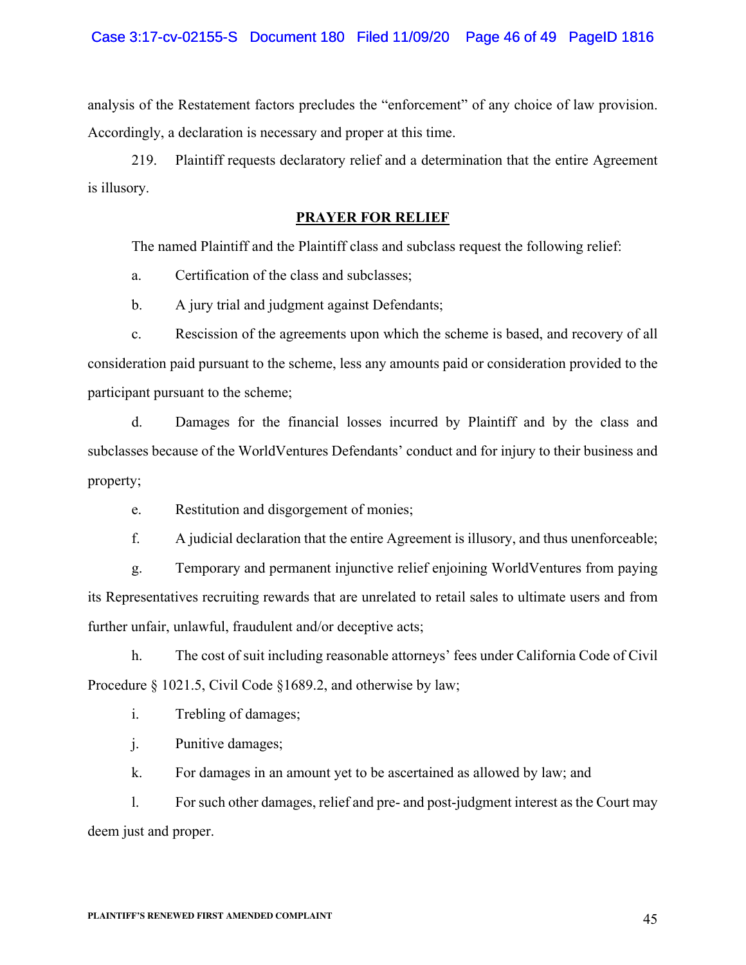analysis of the Restatement factors precludes the "enforcement" of any choice of law provision. Accordingly, a declaration is necessary and proper at this time.

219. Plaintiff requests declaratory relief and a determination that the entire Agreement is illusory.

# **PRAYER FOR RELIEF**

The named Plaintiff and the Plaintiff class and subclass request the following relief:

a. Certification of the class and subclasses;

b. A jury trial and judgment against Defendants;

c. Rescission of the agreements upon which the scheme is based, and recovery of all consideration paid pursuant to the scheme, less any amounts paid or consideration provided to the participant pursuant to the scheme;

d. Damages for the financial losses incurred by Plaintiff and by the class and subclasses because of the WorldVentures Defendants' conduct and for injury to their business and property;

e. Restitution and disgorgement of monies;

f. A judicial declaration that the entire Agreement is illusory, and thus unenforceable;

g. Temporary and permanent injunctive relief enjoining WorldVentures from paying its Representatives recruiting rewards that are unrelated to retail sales to ultimate users and from further unfair, unlawful, fraudulent and/or deceptive acts;

h. The cost of suit including reasonable attorneys' fees under California Code of Civil Procedure § 1021.5, Civil Code § 1689.2, and otherwise by law;

i. Trebling of damages;

j. Punitive damages;

k. For damages in an amount yet to be ascertained as allowed by law; and

l. For such other damages, relief and pre- and post-judgment interest as the Court may deem just and proper.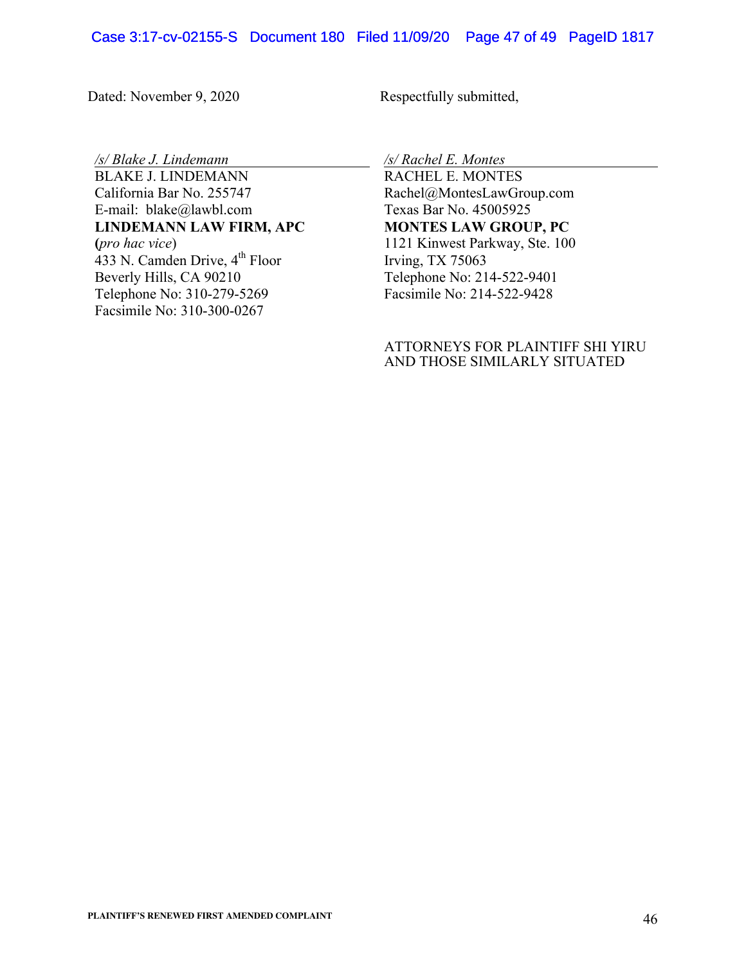# Case 3:17-cv-02155-S Document 180 Filed 11/09/20 Page 47 of 49 PageID 1817

Dated: November 9, 2020 Respectfully submitted,

*/s/ Blake J. Lindemann*

BLAKE J. LINDEMANN California Bar No. 255747 E-mail: blake@lawbl.com **LINDEMANN LAW FIRM, APC**

**(***pro hac vice*) 433 N. Camden Drive, 4<sup>th</sup> Floor Beverly Hills, CA 90210 Telephone No: 310-279-5269 Facsimile No: 310-300-0267

*/s/ Rachel E. Montes*

RACHEL E. MONTES Rachel@MontesLawGroup.com Texas Bar No. 45005925 **MONTES LAW GROUP, PC** 1121 Kinwest Parkway, Ste. 100 Irving, TX 75063 Telephone No: 214-522-9401 Facsimile No: 214-522-9428

# ATTORNEYS FOR PLAINTIFF SHI YIRU AND THOSE SIMILARLY SITUATED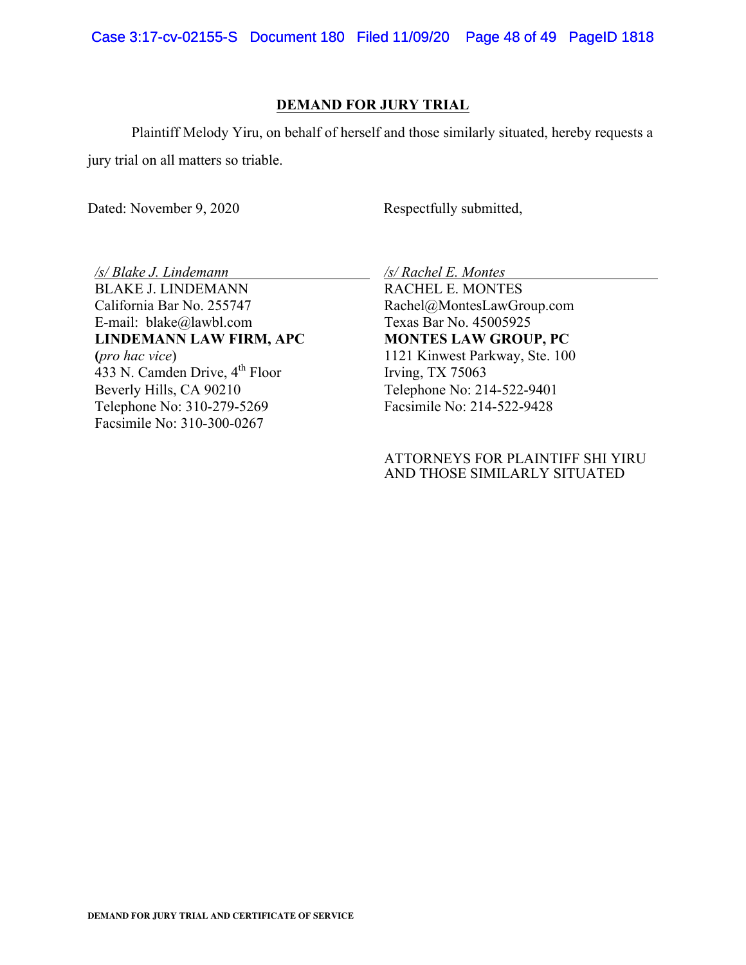# **DEMAND FOR JURY TRIAL**

Plaintiff Melody Yiru, on behalf of herself and those similarly situated, hereby requests a jury trial on all matters so triable.

Dated: November 9, 2020 Respectfully submitted,

*/s/ Blake J. Lindemann* BLAKE J. LINDEMANN California Bar No. 255747 E-mail: blake@lawbl.com **LINDEMANN LAW FIRM, APC (***pro hac vice*) 433 N. Camden Drive, 4<sup>th</sup> Floor Beverly Hills, CA 90210 Telephone No: 310-279-5269 Facsimile No: 310-300-0267

*/s/ Rachel E. Montes*

RACHEL E. MONTES Rachel@MontesLawGroup.com Texas Bar No. 45005925 **MONTES LAW GROUP, PC** 1121 Kinwest Parkway, Ste. 100 Irving, TX 75063 Telephone No: 214-522-9401 Facsimile No: 214-522-9428

# ATTORNEYS FOR PLAINTIFF SHI YIRU AND THOSE SIMILARLY SITUATED